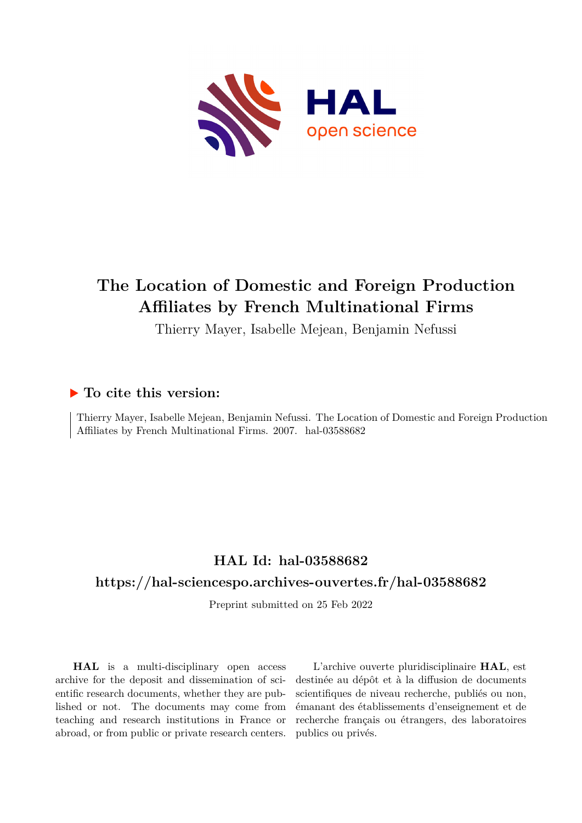

# **The Location of Domestic and Foreign Production Affiliates by French Multinational Firms**

Thierry Mayer, Isabelle Mejean, Benjamin Nefussi

## **To cite this version:**

Thierry Mayer, Isabelle Mejean, Benjamin Nefussi. The Location of Domestic and Foreign Production Affiliates by French Multinational Firms. 2007. hal-03588682

## **HAL Id: hal-03588682**

## **<https://hal-sciencespo.archives-ouvertes.fr/hal-03588682>**

Preprint submitted on 25 Feb 2022

**HAL** is a multi-disciplinary open access archive for the deposit and dissemination of scientific research documents, whether they are published or not. The documents may come from teaching and research institutions in France or abroad, or from public or private research centers.

L'archive ouverte pluridisciplinaire **HAL**, est destinée au dépôt et à la diffusion de documents scientifiques de niveau recherche, publiés ou non, émanant des établissements d'enseignement et de recherche français ou étrangers, des laboratoires publics ou privés.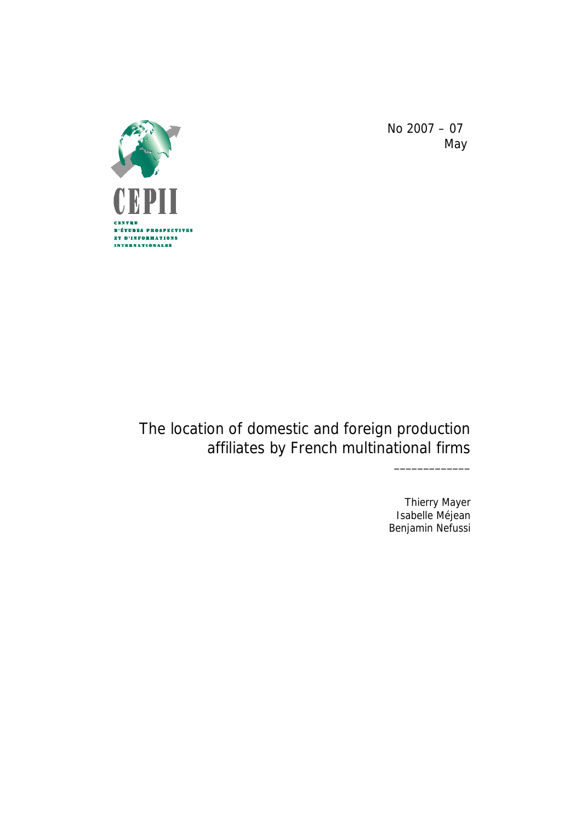

No 2007 – 07 May

# The location of domestic and foreign production affiliates by French multinational firms

Thierry Mayer Isabelle Méjean Benjamin Nefussi

\_\_\_\_\_\_\_\_\_\_\_\_\_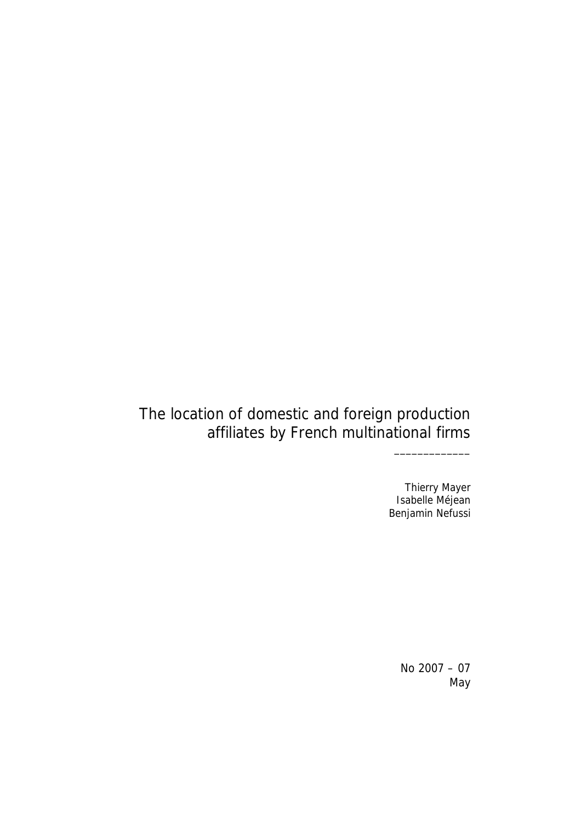# The location of domestic and foreign production affiliates by French multinational firms

Thierry Mayer Isabelle Méjean Benjamin Nefussi

\_\_\_\_\_\_\_\_\_\_\_\_\_

No 2007 – 07 May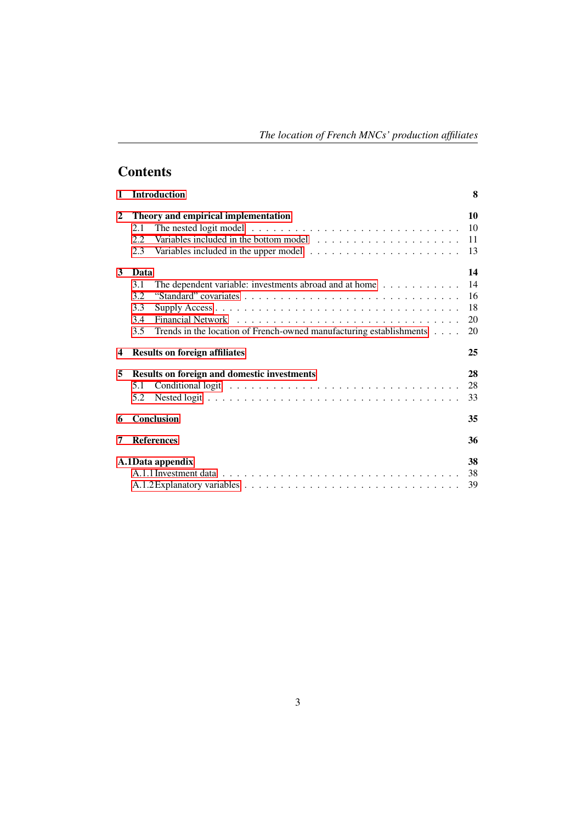## **Contents**

| $\mathbf{1}$ | <b>Introduction</b>                                                               | 8  |
|--------------|-----------------------------------------------------------------------------------|----|
| $\mathbf{2}$ | Theory and empirical implementation                                               | 10 |
|              | 2.1                                                                               | 10 |
|              | 2.2.                                                                              | 11 |
|              | 2.3                                                                               | 13 |
| 3            | Data                                                                              | 14 |
|              | 3.1<br>The dependent variable: investments abroad and at home $\dots \dots \dots$ | 14 |
|              | 3.2                                                                               | 16 |
|              | 3.3                                                                               | 18 |
|              | 3.4                                                                               | 20 |
|              | Trends in the location of French-owned manufacturing establishments<br>3.5        | 20 |
| 4            | <b>Results on foreign affiliates</b>                                              | 25 |
| 5            | <b>Results on foreign and domestic investments</b>                                | 28 |
|              | 5.1                                                                               | 28 |
|              | 5.2                                                                               | 33 |
| 6            | <b>Conclusion</b>                                                                 | 35 |
| 7            | <b>References</b>                                                                 | 36 |
|              | A.1Data appendix                                                                  | 38 |
|              |                                                                                   | 38 |
|              |                                                                                   | 39 |
|              |                                                                                   |    |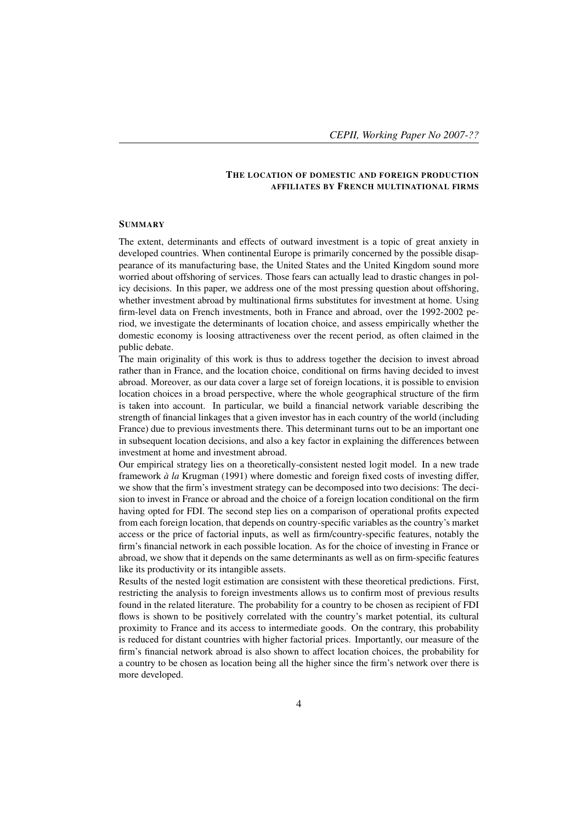#### THE LOCATION OF DOMESTIC AND FOREIGN PRODUCTION AFFILIATES BY FRENCH MULTINATIONAL FIRMS

#### **SUMMARY**

The extent, determinants and effects of outward investment is a topic of great anxiety in developed countries. When continental Europe is primarily concerned by the possible disappearance of its manufacturing base, the United States and the United Kingdom sound more worried about offshoring of services. Those fears can actually lead to drastic changes in policy decisions. In this paper, we address one of the most pressing question about offshoring, whether investment abroad by multinational firms substitutes for investment at home. Using firm-level data on French investments, both in France and abroad, over the 1992-2002 period, we investigate the determinants of location choice, and assess empirically whether the domestic economy is loosing attractiveness over the recent period, as often claimed in the public debate.

The main originality of this work is thus to address together the decision to invest abroad rather than in France, and the location choice, conditional on firms having decided to invest abroad. Moreover, as our data cover a large set of foreign locations, it is possible to envision location choices in a broad perspective, where the whole geographical structure of the firm is taken into account. In particular, we build a financial network variable describing the strength of financial linkages that a given investor has in each country of the world (including France) due to previous investments there. This determinant turns out to be an important one in subsequent location decisions, and also a key factor in explaining the differences between investment at home and investment abroad.

Our empirical strategy lies on a theoretically-consistent nested logit model. In a new trade framework *à la* Krugman (1991) where domestic and foreign fixed costs of investing differ, we show that the firm's investment strategy can be decomposed into two decisions: The decision to invest in France or abroad and the choice of a foreign location conditional on the firm having opted for FDI. The second step lies on a comparison of operational profits expected from each foreign location, that depends on country-specific variables as the country's market access or the price of factorial inputs, as well as firm/country-specific features, notably the firm's financial network in each possible location. As for the choice of investing in France or abroad, we show that it depends on the same determinants as well as on firm-specific features like its productivity or its intangible assets.

Results of the nested logit estimation are consistent with these theoretical predictions. First, restricting the analysis to foreign investments allows us to confirm most of previous results found in the related literature. The probability for a country to be chosen as recipient of FDI flows is shown to be positively correlated with the country's market potential, its cultural proximity to France and its access to intermediate goods. On the contrary, this probability is reduced for distant countries with higher factorial prices. Importantly, our measure of the firm's financial network abroad is also shown to affect location choices, the probability for a country to be chosen as location being all the higher since the firm's network over there is more developed.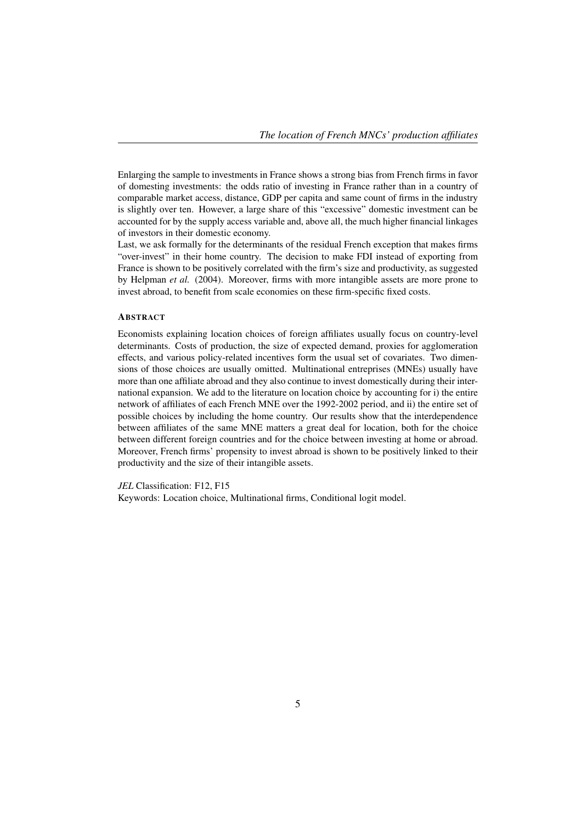Enlarging the sample to investments in France shows a strong bias from French firms in favor of domesting investments: the odds ratio of investing in France rather than in a country of comparable market access, distance, GDP per capita and same count of firms in the industry is slightly over ten. However, a large share of this "excessive" domestic investment can be accounted for by the supply access variable and, above all, the much higher financial linkages of investors in their domestic economy.

Last, we ask formally for the determinants of the residual French exception that makes firms "over-invest" in their home country. The decision to make FDI instead of exporting from France is shown to be positively correlated with the firm's size and productivity, as suggested by Helpman *et al.* (2004). Moreover, firms with more intangible assets are more prone to invest abroad, to benefit from scale economies on these firm-specific fixed costs.

#### **ABSTRACT**

Economists explaining location choices of foreign affiliates usually focus on country-level determinants. Costs of production, the size of expected demand, proxies for agglomeration effects, and various policy-related incentives form the usual set of covariates. Two dimensions of those choices are usually omitted. Multinational entreprises (MNEs) usually have more than one affiliate abroad and they also continue to invest domestically during their international expansion. We add to the literature on location choice by accounting for i) the entire network of affiliates of each French MNE over the 1992-2002 period, and ii) the entire set of possible choices by including the home country. Our results show that the interdependence between affiliates of the same MNE matters a great deal for location, both for the choice between different foreign countries and for the choice between investing at home or abroad. Moreover, French firms' propensity to invest abroad is shown to be positively linked to their productivity and the size of their intangible assets.

*JEL* Classification: F12, F15

Keywords: Location choice, Multinational firms, Conditional logit model.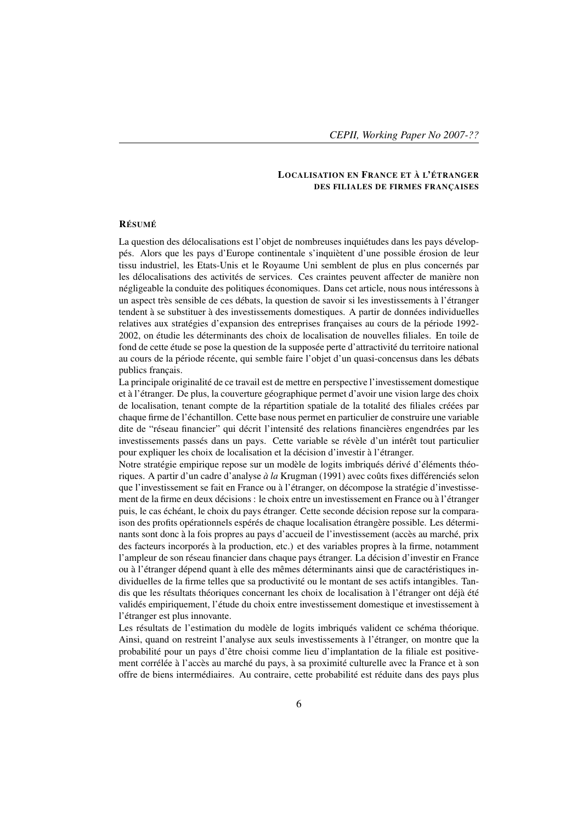#### LOCALISATION EN FRANCE ET À L'ÉTRANGER DES FILIALES DE FIRMES FRANÇAISES

#### RÉSUMÉ

La question des délocalisations est l'objet de nombreuses inquiétudes dans les pays développés. Alors que les pays d'Europe continentale s'inquiètent d'une possible érosion de leur tissu industriel, les Etats-Unis et le Royaume Uni semblent de plus en plus concernés par les délocalisations des activités de services. Ces craintes peuvent affecter de manière non négligeable la conduite des politiques économiques. Dans cet article, nous nous intéressons à un aspect très sensible de ces débats, la question de savoir si les investissements à l'étranger tendent à se substituer à des investissements domestiques. A partir de données individuelles relatives aux stratégies d'expansion des entreprises françaises au cours de la période 1992- 2002, on étudie les déterminants des choix de localisation de nouvelles filiales. En toile de fond de cette étude se pose la question de la supposée perte d'attractivité du territoire national au cours de la période récente, qui semble faire l'objet d'un quasi-concensus dans les débats publics français.

La principale originalité de ce travail est de mettre en perspective l'investissement domestique et à l'étranger. De plus, la couverture géographique permet d'avoir une vision large des choix de localisation, tenant compte de la répartition spatiale de la totalité des filiales créées par chaque firme de l'échantillon. Cette base nous permet en particulier de construire une variable dite de "réseau financier" qui décrit l'intensité des relations financières engendrées par les investissements passés dans un pays. Cette variable se révèle d'un intérêt tout particulier pour expliquer les choix de localisation et la décision d'investir à l'étranger.

Notre stratégie empirique repose sur un modèle de logits imbriqués dérivé d'éléments théoriques. A partir d'un cadre d'analyse *à la* Krugman (1991) avec coûts fixes différenciés selon que l'investissement se fait en France ou à l'étranger, on décompose la stratégie d'investissement de la firme en deux décisions : le choix entre un investissement en France ou à l'étranger puis, le cas échéant, le choix du pays étranger. Cette seconde décision repose sur la comparaison des profits opérationnels espérés de chaque localisation étrangère possible. Les déterminants sont donc à la fois propres au pays d'accueil de l'investissement (accès au marché, prix des facteurs incorporés à la production, etc.) et des variables propres à la firme, notamment l'ampleur de son réseau financier dans chaque pays étranger. La décision d'investir en France ou à l'étranger dépend quant à elle des mêmes déterminants ainsi que de caractéristiques individuelles de la firme telles que sa productivité ou le montant de ses actifs intangibles. Tandis que les résultats théoriques concernant les choix de localisation à l'étranger ont déjà été validés empiriquement, l'étude du choix entre investissement domestique et investissement à l'étranger est plus innovante.

Les résultats de l'estimation du modèle de logits imbriqués valident ce schéma théorique. Ainsi, quand on restreint l'analyse aux seuls investissements à l'étranger, on montre que la probabilité pour un pays d'être choisi comme lieu d'implantation de la filiale est positivement corrélée à l'accès au marché du pays, à sa proximité culturelle avec la France et à son offre de biens intermédiaires. Au contraire, cette probabilité est réduite dans des pays plus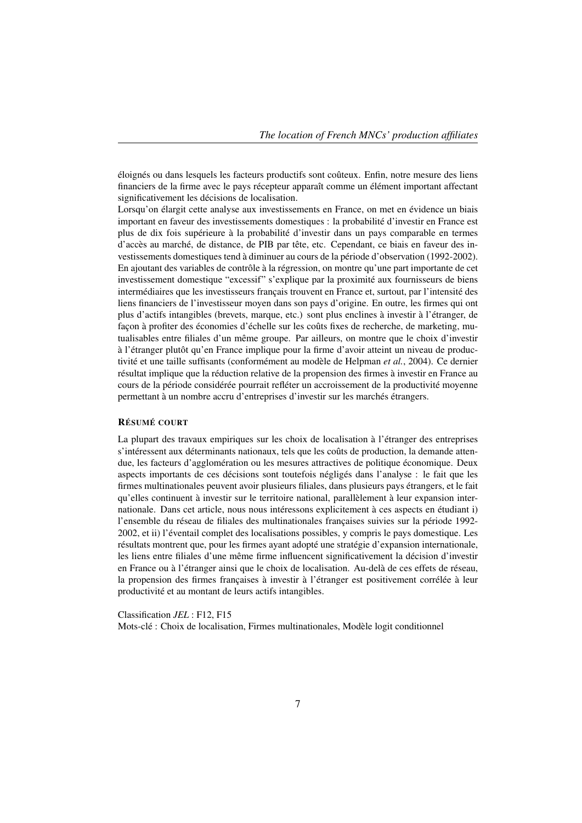éloignés ou dans lesquels les facteurs productifs sont coûteux. Enfin, notre mesure des liens financiers de la firme avec le pays récepteur apparaît comme un élément important affectant significativement les décisions de localisation.

Lorsqu'on élargit cette analyse aux investissements en France, on met en évidence un biais important en faveur des investissements domestiques : la probabilité d'investir en France est plus de dix fois supérieure à la probabilité d'investir dans un pays comparable en termes d'accès au marché, de distance, de PIB par tête, etc. Cependant, ce biais en faveur des investissements domestiques tend à diminuer au cours de la période d'observation (1992-2002). En ajoutant des variables de contrôle à la régression, on montre qu'une part importante de cet investissement domestique "excessif" s'explique par la proximité aux fournisseurs de biens intermédiaires que les investisseurs français trouvent en France et, surtout, par l'intensité des liens financiers de l'investisseur moyen dans son pays d'origine. En outre, les firmes qui ont plus d'actifs intangibles (brevets, marque, etc.) sont plus enclines à investir à l'étranger, de façon à profiter des économies d'échelle sur les coûts fixes de recherche, de marketing, mutualisables entre filiales d'un même groupe. Par ailleurs, on montre que le choix d'investir à l'étranger plutôt qu'en France implique pour la firme d'avoir atteint un niveau de productivité et une taille suffisants (conformément au modèle de Helpman *et al.*, 2004). Ce dernier résultat implique que la réduction relative de la propension des firmes à investir en France au cours de la période considérée pourrait refléter un accroissement de la productivité moyenne permettant à un nombre accru d'entreprises d'investir sur les marchés étrangers.

#### RÉSUMÉ COURT

La plupart des travaux empiriques sur les choix de localisation à l'étranger des entreprises s'intéressent aux déterminants nationaux, tels que les coûts de production, la demande attendue, les facteurs d'agglomération ou les mesures attractives de politique économique. Deux aspects importants de ces décisions sont toutefois négligés dans l'analyse : le fait que les firmes multinationales peuvent avoir plusieurs filiales, dans plusieurs pays étrangers, et le fait qu'elles continuent à investir sur le territoire national, parallèlement à leur expansion internationale. Dans cet article, nous nous intéressons explicitement à ces aspects en étudiant i) l'ensemble du réseau de filiales des multinationales françaises suivies sur la période 1992- 2002, et ii) l'éventail complet des localisations possibles, y compris le pays domestique. Les résultats montrent que, pour les firmes ayant adopté une stratégie d'expansion internationale, les liens entre filiales d'une même firme influencent significativement la décision d'investir en France ou à l'étranger ainsi que le choix de localisation. Au-delà de ces effets de réseau, la propension des firmes françaises à investir à l'étranger est positivement corrélée à leur productivité et au montant de leurs actifs intangibles.

Classification *JEL* : F12, F15

Mots-clé : Choix de localisation, Firmes multinationales, Modèle logit conditionnel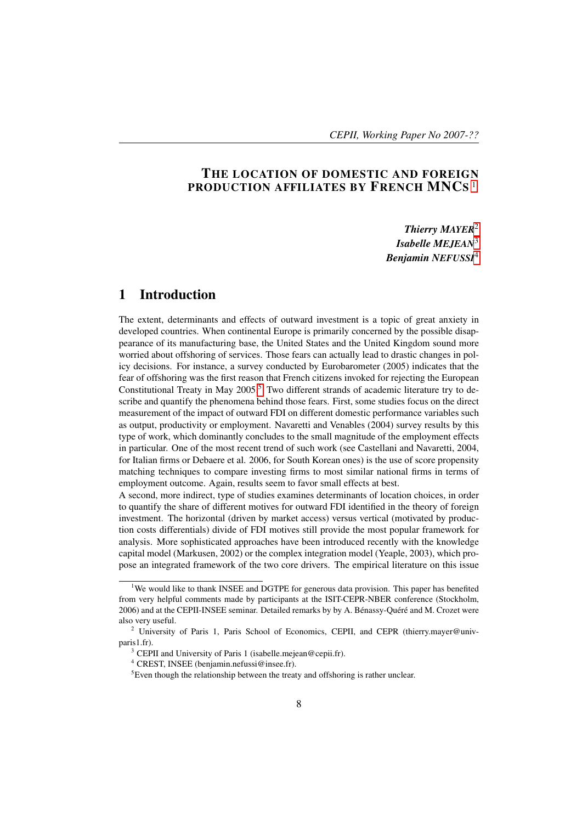## THE LOCATION OF DOMESTIC AND FOREIGN PRODUCTION AFFILIATES BY FRENCH MNCS 1

*Thierry MAYER*2 *Isabelle MEJEAN*3 *Benjamin NEFUSSI*4

## 1 Introduction

The extent, determinants and effects of outward investment is a topic of great anxiety in developed countries. When continental Europe is primarily concerned by the possible disappearance of its manufacturing base, the United States and the United Kingdom sound more worried about offshoring of services. Those fears can actually lead to drastic changes in policy decisions. For instance, a survey conducted by Eurobarometer (2005) indicates that the fear of offshoring was the first reason that French citizens invoked for rejecting the European Constitutional Treaty in May  $2005$ .<sup>5</sup> Two different strands of academic literature try to describe and quantify the phenomena behind those fears. First, some studies focus on the direct measurement of the impact of outward FDI on different domestic performance variables such as output, productivity or employment. Navaretti and Venables (2004) survey results by this type of work, which dominantly concludes to the small magnitude of the employment effects in particular. One of the most recent trend of such work (see Castellani and Navaretti, 2004, for Italian firms or Debaere et al. 2006, for South Korean ones) is the use of score propensity matching techniques to compare investing firms to most similar national firms in terms of employment outcome. Again, results seem to favor small effects at best.

A second, more indirect, type of studies examines determinants of location choices, in order to quantify the share of different motives for outward FDI identified in the theory of foreign investment. The horizontal (driven by market access) versus vertical (motivated by production costs differentials) divide of FDI motives still provide the most popular framework for analysis. More sophisticated approaches have been introduced recently with the knowledge capital model (Markusen, 2002) or the complex integration model (Yeaple, 2003), which propose an integrated framework of the two core drivers. The empirical literature on this issue

<sup>&</sup>lt;sup>1</sup>We would like to thank INSEE and DGTPE for generous data provision. This paper has benefited from very helpful comments made by participants at the ISIT-CEPR-NBER conference (Stockholm, 2006) and at the CEPII-INSEE seminar. Detailed remarks by by A. Bénassy-Quéré and M. Crozet were also very useful.

<sup>&</sup>lt;sup>2</sup> University of Paris 1, Paris School of Economics, CEPII, and CEPR (thierry.mayer@univparis1.fr).

<sup>&</sup>lt;sup>3</sup> CEPII and University of Paris 1 (isabelle.mejean@cepii.fr).

<sup>4</sup> CREST, INSEE (benjamin.nefussi@insee.fr).

 ${}^{5}$ Even though the relationship between the treaty and offshoring is rather unclear.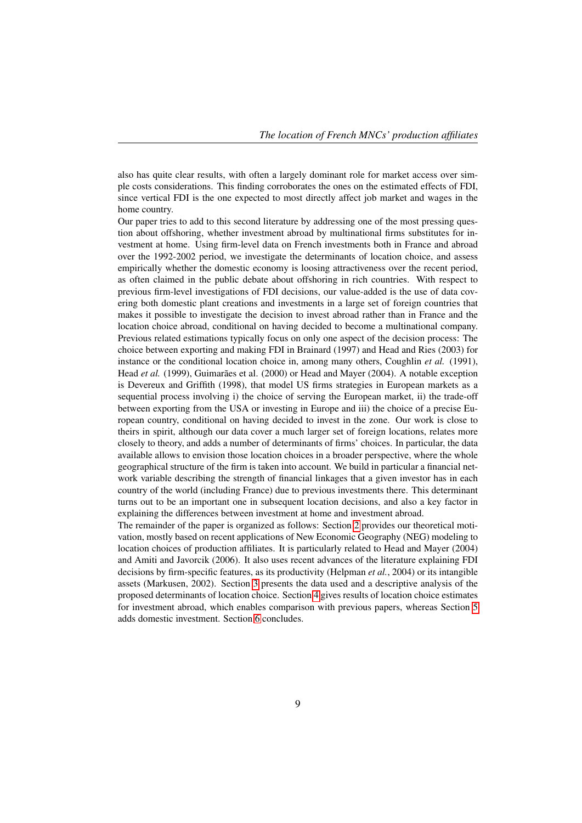also has quite clear results, with often a largely dominant role for market access over simple costs considerations. This finding corroborates the ones on the estimated effects of FDI, since vertical FDI is the one expected to most directly affect job market and wages in the home country.

Our paper tries to add to this second literature by addressing one of the most pressing question about offshoring, whether investment abroad by multinational firms substitutes for investment at home. Using firm-level data on French investments both in France and abroad over the 1992-2002 period, we investigate the determinants of location choice, and assess empirically whether the domestic economy is loosing attractiveness over the recent period, as often claimed in the public debate about offshoring in rich countries. With respect to previous firm-level investigations of FDI decisions, our value-added is the use of data covering both domestic plant creations and investments in a large set of foreign countries that makes it possible to investigate the decision to invest abroad rather than in France and the location choice abroad, conditional on having decided to become a multinational company. Previous related estimations typically focus on only one aspect of the decision process: The choice between exporting and making FDI in Brainard (1997) and Head and Ries (2003) for instance or the conditional location choice in, among many others, Coughlin *et al.* (1991), Head *et al.* (1999), Guimarães et al. (2000) or Head and Mayer (2004). A notable exception is Devereux and Griffith (1998), that model US firms strategies in European markets as a sequential process involving i) the choice of serving the European market, ii) the trade-off between exporting from the USA or investing in Europe and iii) the choice of a precise European country, conditional on having decided to invest in the zone. Our work is close to theirs in spirit, although our data cover a much larger set of foreign locations, relates more closely to theory, and adds a number of determinants of firms' choices. In particular, the data available allows to envision those location choices in a broader perspective, where the whole geographical structure of the firm is taken into account. We build in particular a financial network variable describing the strength of financial linkages that a given investor has in each country of the world (including France) due to previous investments there. This determinant turns out to be an important one in subsequent location decisions, and also a key factor in explaining the differences between investment at home and investment abroad.

The remainder of the paper is organized as follows: Section 2 provides our theoretical motivation, mostly based on recent applications of New Economic Geography (NEG) modeling to location choices of production affiliates. It is particularly related to Head and Mayer (2004) and Amiti and Javorcik (2006). It also uses recent advances of the literature explaining FDI decisions by firm-specific features, as its productivity (Helpman *et al.*, 2004) or its intangible assets (Markusen, 2002). Section 3 presents the data used and a descriptive analysis of the proposed determinants of location choice. Section 4 gives results of location choice estimates for investment abroad, which enables comparison with previous papers, whereas Section 5 adds domestic investment. Section 6 concludes.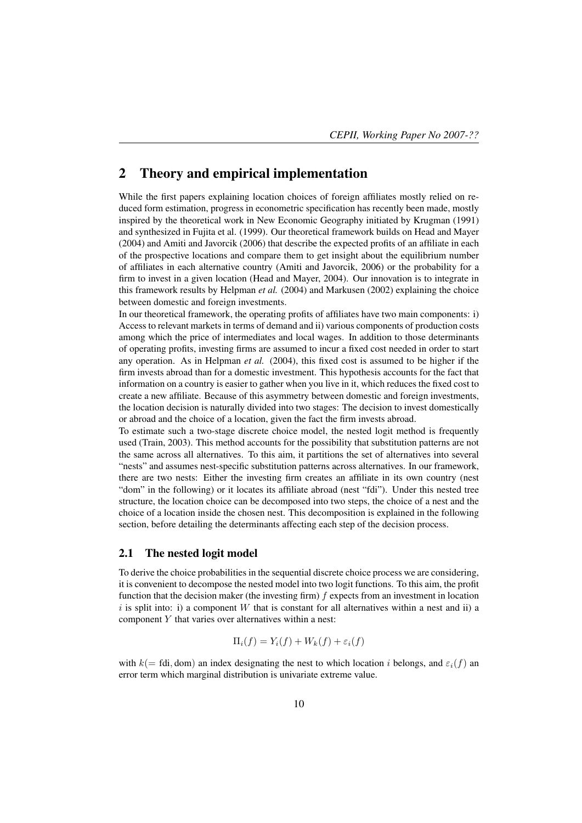### 2 Theory and empirical implementation

While the first papers explaining location choices of foreign affiliates mostly relied on reduced form estimation, progress in econometric specification has recently been made, mostly inspired by the theoretical work in New Economic Geography initiated by Krugman (1991) and synthesized in Fujita et al. (1999). Our theoretical framework builds on Head and Mayer (2004) and Amiti and Javorcik (2006) that describe the expected profits of an affiliate in each of the prospective locations and compare them to get insight about the equilibrium number of affiliates in each alternative country (Amiti and Javorcik, 2006) or the probability for a firm to invest in a given location (Head and Mayer, 2004). Our innovation is to integrate in this framework results by Helpman *et al.* (2004) and Markusen (2002) explaining the choice between domestic and foreign investments.

In our theoretical framework, the operating profits of affiliates have two main components: i) Access to relevant markets in terms of demand and ii) various components of production costs among which the price of intermediates and local wages. In addition to those determinants of operating profits, investing firms are assumed to incur a fixed cost needed in order to start any operation. As in Helpman *et al.* (2004), this fixed cost is assumed to be higher if the firm invests abroad than for a domestic investment. This hypothesis accounts for the fact that information on a country is easier to gather when you live in it, which reduces the fixed cost to create a new affiliate. Because of this asymmetry between domestic and foreign investments, the location decision is naturally divided into two stages: The decision to invest domestically or abroad and the choice of a location, given the fact the firm invests abroad.

To estimate such a two-stage discrete choice model, the nested logit method is frequently used (Train, 2003). This method accounts for the possibility that substitution patterns are not the same across all alternatives. To this aim, it partitions the set of alternatives into several "nests" and assumes nest-specific substitution patterns across alternatives. In our framework, there are two nests: Either the investing firm creates an affiliate in its own country (nest "dom" in the following) or it locates its affiliate abroad (nest "fdi"). Under this nested tree structure, the location choice can be decomposed into two steps, the choice of a nest and the choice of a location inside the chosen nest. This decomposition is explained in the following section, before detailing the determinants affecting each step of the decision process.

#### 2.1 The nested logit model

To derive the choice probabilities in the sequential discrete choice process we are considering, it is convenient to decompose the nested model into two logit functions. To this aim, the profit function that the decision maker (the investing firm)  $f$  expects from an investment in location  $i$  is split into: i) a component W that is constant for all alternatives within a nest and ii) a component Y that varies over alternatives within a nest:

$$
\Pi_i(f) = Y_i(f) + W_k(f) + \varepsilon_i(f)
$$

with  $k(= \text{fdi}, \text{dom})$  an index designating the nest to which location i belongs, and  $\varepsilon_i(f)$  and error term which marginal distribution is univariate extreme value.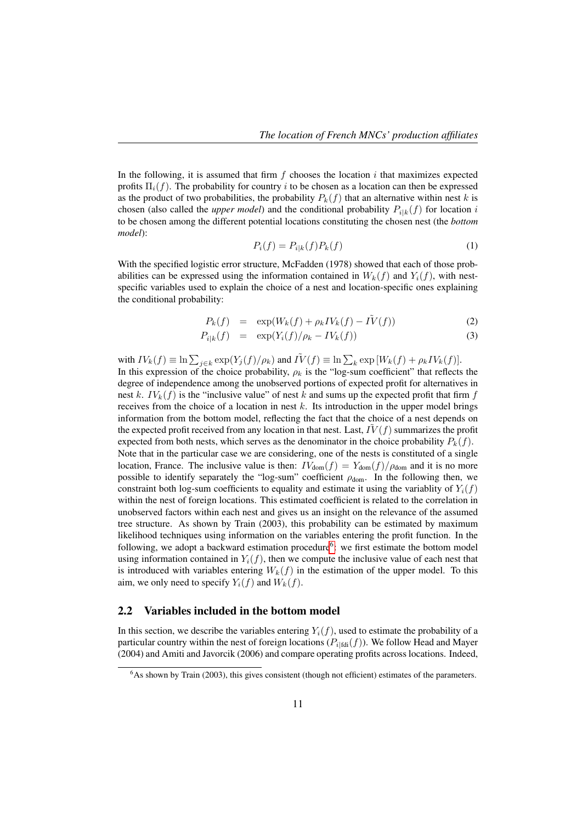In the following, it is assumed that firm  $f$  chooses the location  $i$  that maximizes expected profits  $\Pi_i(f)$ . The probability for country i to be chosen as a location can then be expressed as the product of two probabilities, the probability  $P_k(f)$  that an alternative within nest k is chosen (also called the *upper model*) and the conditional probability  $P_{ijk}(f)$  for location i to be chosen among the different potential locations constituting the chosen nest (the *bottom model*):

$$
P_i(f) = P_{i|k}(f)P_k(f)
$$
\n<sup>(1)</sup>

With the specified logistic error structure, McFadden (1978) showed that each of those probabilities can be expressed using the information contained in  $W_k(f)$  and  $Y_i(f)$ , with nestspecific variables used to explain the choice of a nest and location-specific ones explaining the conditional probability:

$$
P_k(f) = \exp(W_k(f) + \rho_k IV_k(f) - \tilde{IV}(f)) \tag{2}
$$

$$
P_{i|k}(f) = \exp(Y_i(f)/\rho_k - IV_k(f)) \tag{3}
$$

with  $IV_k(f) \equiv \ln \sum_{j \in k} \exp(Y_j(f)/\rho_k)$  and  $\tilde{IV}(f) \equiv \ln \sum_k \exp[W_k(f) + \rho_k IV_k(f)].$ In this expression of the choice probability,  $\rho_k$  is the "log-sum coefficient" that reflects the degree of independence among the unobserved portions of expected profit for alternatives in nest k.  $IV_k(f)$  is the "inclusive value" of nest k and sums up the expected profit that firm f receives from the choice of a location in nest  $k$ . Its introduction in the upper model brings information from the bottom model, reflecting the fact that the choice of a nest depends on the expected profit received from any location in that nest. Last,  $IV(f)$  summarizes the profit expected from both nests, which serves as the denominator in the choice probability  $P_k(f)$ . Note that in the particular case we are considering, one of the nests is constituted of a single location, France. The inclusive value is then:  $IV_{\text{dom}}(f) = Y_{\text{dom}}(f)/\rho_{\text{dom}}$  and it is no more possible to identify separately the "log-sum" coefficient  $\rho_{\text{dom}}$ . In the following then, we constraint both log-sum coefficients to equality and estimate it using the variablity of  $Y_i(f)$ within the nest of foreign locations. This estimated coefficient is related to the correlation in unobserved factors within each nest and gives us an insight on the relevance of the assumed tree structure. As shown by Train (2003), this probability can be estimated by maximum likelihood techniques using information on the variables entering the profit function. In the following, we adopt a backward estimation procedure<sup>6</sup>: we first estimate the bottom model using information contained in  $Y_i(f)$ , then we compute the inclusive value of each nest that is introduced with variables entering  $W_k(f)$  in the estimation of the upper model. To this aim, we only need to specify  $Y_i(f)$  and  $W_k(f)$ .

#### 2.2 Variables included in the bottom model

In this section, we describe the variables entering  $Y_i(f)$ , used to estimate the probability of a particular country within the nest of foreign locations ( $P_{i|fdi}(f)$ ). We follow Head and Mayer (2004) and Amiti and Javorcik (2006) and compare operating profits across locations. Indeed,

 $6$ As shown by Train (2003), this gives consistent (though not efficient) estimates of the parameters.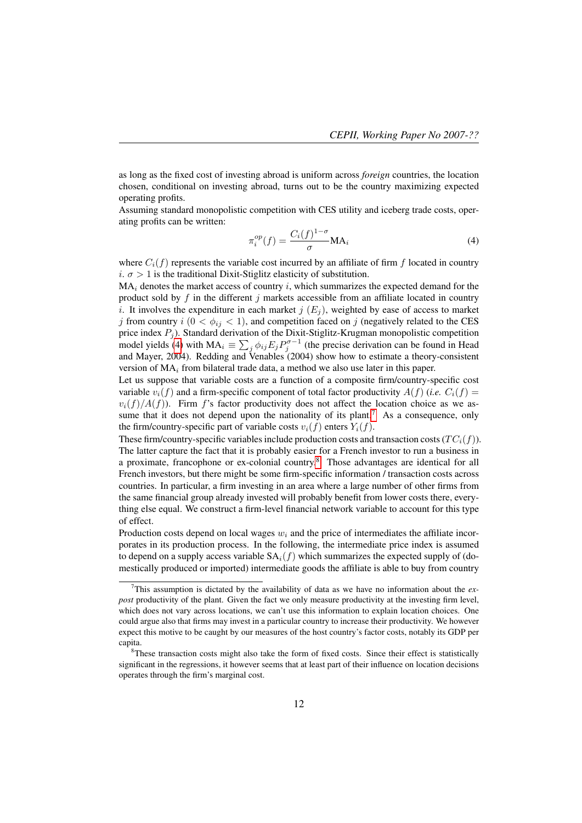as long as the fixed cost of investing abroad is uniform across *foreign* countries, the location chosen, conditional on investing abroad, turns out to be the country maximizing expected operating profits.

Assuming standard monopolistic competition with CES utility and iceberg trade costs, operating profits can be written:

$$
\pi_i^{op}(f) = \frac{C_i(f)^{1-\sigma}}{\sigma} \mathbf{M} \mathbf{A}_i
$$
\n(4)

where  $C_i(f)$  represents the variable cost incurred by an affiliate of firm f located in country i.  $\sigma > 1$  is the traditional Dixit-Stiglitz elasticity of substitution.

 $MA_i$  denotes the market access of country i, which summarizes the expected demand for the product sold by  $f$  in the different  $j$  markets accessible from an affiliate located in country i. It involves the expenditure in each market  $j(E_i)$ , weighted by ease of access to market j from country  $i$  ( $0 < \phi_{ij} < 1$ ), and competition faced on j (negatively related to the CES price index  $P_j$ ). Standard derivation of the Dixit-Stiglitz-Krugman monopolistic competition model yields (4) with  $MA_i \equiv \sum_j \phi_{ij} E_j P_j^{\sigma-1}$  (the precise derivation can be found in Head and Mayer, 2004). Redding and Venables (2004) show how to estimate a theory-consistent version of  $MA<sub>i</sub>$  from bilateral trade data, a method we also use later in this paper.

Let us suppose that variable costs are a function of a composite firm/country-specific cost variable  $v_i(f)$  and a firm-specific component of total factor productivity  $A(f)$  (*i.e.*  $C_i(f)$ )  $v_i(f)/A(f)$ ). Firm f's factor productivity does not affect the location choice as we assume that it does not depend upon the nationality of its plant.<sup>7</sup> As a consequence, only the firm/country-specific part of variable costs  $v_i(f)$  enters  $Y_i(f)$ .

These firm/country-specific variables include production costs and transaction costs ( $TC_i(f)$ ). The latter capture the fact that it is probably easier for a French investor to run a business in a proximate, francophone or ex-colonial country.8 Those advantages are identical for all French investors, but there might be some firm-specific information / transaction costs across countries. In particular, a firm investing in an area where a large number of other firms from the same financial group already invested will probably benefit from lower costs there, everything else equal. We construct a firm-level financial network variable to account for this type of effect.

Production costs depend on local wages  $w_i$  and the price of intermediates the affiliate incorporates in its production process. In the following, the intermediate price index is assumed to depend on a supply access variable  $SA_i(f)$  which summarizes the expected supply of (domestically produced or imported) intermediate goods the affiliate is able to buy from country

<sup>7</sup>This assumption is dictated by the availability of data as we have no information about the *expost* productivity of the plant. Given the fact we only measure productivity at the investing firm level, which does not vary across locations, we can't use this information to explain location choices. One could argue also that firms may invest in a particular country to increase their productivity. We however expect this motive to be caught by our measures of the host country's factor costs, notably its GDP per capita.

<sup>&</sup>lt;sup>8</sup>These transaction costs might also take the form of fixed costs. Since their effect is statistically significant in the regressions, it however seems that at least part of their influence on location decisions operates through the firm's marginal cost.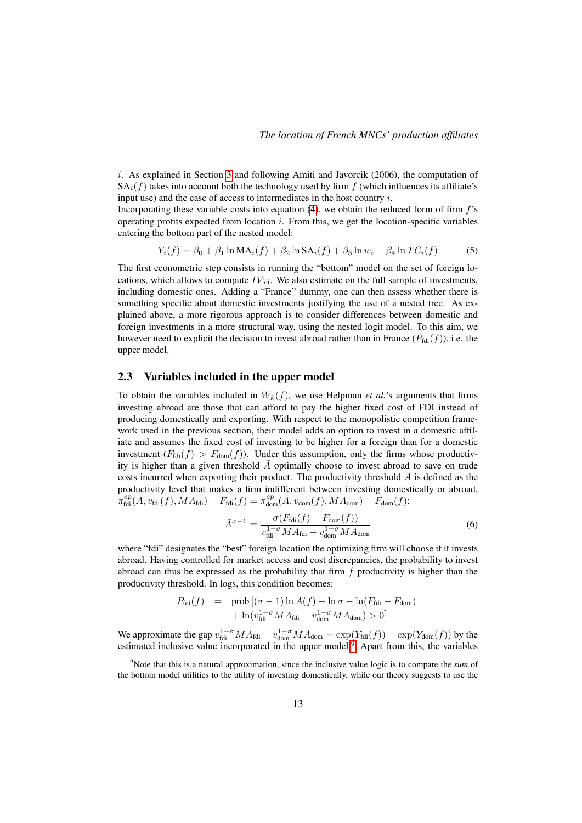$i$ . As explained in Section 3 and following Amiti and Javorcik (2006), the computation of  $SA<sub>i</sub>(f)$  takes into account both the technology used by firm f (which influences its affiliate's input use) and the ease of access to intermediates in the host country i.

Incorporating these variable costs into equation  $(4)$ , we obtain the reduced form of firm  $f$ 's operating profits expected from location  $i$ . From this, we get the location-specific variables entering the bottom part of the nested model:

$$
Y_i(f) = \beta_0 + \beta_1 \ln \text{MA}_i(f) + \beta_2 \ln \text{SA}_i(f) + \beta_3 \ln w_i + \beta_4 \ln TC_i(f)
$$
 (5)

The first econometric step consists in running the "bottom" model on the set of foreign locations, which allows to compute  $IV_{\text{fdi}}$ . We also estimate on the full sample of investments, including domestic ones. Adding a "France" dummy, one can then assess whether there is something specific about domestic investments justifying the use of a nested tree. As explained above, a more rigorous approach is to consider differences between domestic and foreign investments in a more structural way, using the nested logit model. To this aim, we however need to explicit the decision to invest abroad rather than in France  $(P_{\text{fdi}}(f))$ , i.e. the upper model.

#### 2.3 Variables included in the upper model

To obtain the variables included in  $W_k(f)$ , we use Helpman *et al.*'s arguments that firms investing abroad are those that can afford to pay the higher fixed cost of FDI instead of producing domestically and exporting. With respect to the monopolistic competition framework used in the previous section, their model adds an option to invest in a domestic affiliate and assumes the fixed cost of investing to be higher for a foreign than for a domestic investment  $(F_{\text{fdi}}(f) > F_{\text{dom}}(f))$ . Under this assumption, only the firms whose productivity is higher than a given threshold  $\overline{A}$  optimally choose to invest abroad to save on trade costs incurred when exporting their product. The productivity threshold  $\overline{A}$  is defined as the productivity level that makes a firm indifferent between investing domestically or abroad,  $\pi_{\text{fdi}}^{op}(\bar{A}, v_{\text{fdi}}(f), MA_{\text{fdi}}) - F_{\text{fdi}}(f) = \pi_{\text{dom}}^{op}(\bar{A}, v_{\text{dom}}(f), MA_{\text{dom}}) - F_{\text{dom}}(f)$ :

$$
\bar{A}^{\sigma-1} = \frac{\sigma(F_{\text{fdi}}(f) - F_{\text{dom}}(f))}{v_{\text{fdi}}^{1-\sigma} M A_{\text{fdi}} - v_{\text{dom}}^{1-\sigma} M A_{\text{dom}}}
$$
(6)

where "fdi" designates the "best" foreign location the optimizing firm will choose if it invests abroad. Having controlled for market access and cost discrepancies, the probability to invest abroad can thus be expressed as the probability that firm  $f$  productivity is higher than the productivity threshold. In logs, this condition becomes:

$$
P_{\text{fdi}}(f) = \text{prob}\left[ (\sigma - 1) \ln A(f) - \ln \sigma - \ln(F_{\text{fdi}} - F_{\text{dom}}) + \ln(v_{\text{fdi}}^{1-\sigma} M A_{\text{fdi}} - v_{\text{dom}}^{1-\sigma} M A_{\text{dom}}) > 0 \right]
$$

We approximate the gap  $v_{\text{fdi}}^{1-\sigma} M A_{\text{fdi}} - v_{\text{dom}}^{1-\sigma} M A_{\text{dom}} = \exp(Y_{\text{fdi}}(f)) - \exp(Y_{\text{dom}}(f))$  by the estimated inclusive value incorporated in the upper model.<sup>9</sup> Apart from this, the variables

<sup>9</sup>Note that this is a natural approximation, since the inclusive value logic is to compare the *sum* of the bottom model utilities to the utility of investing domestically, while our theory suggests to use the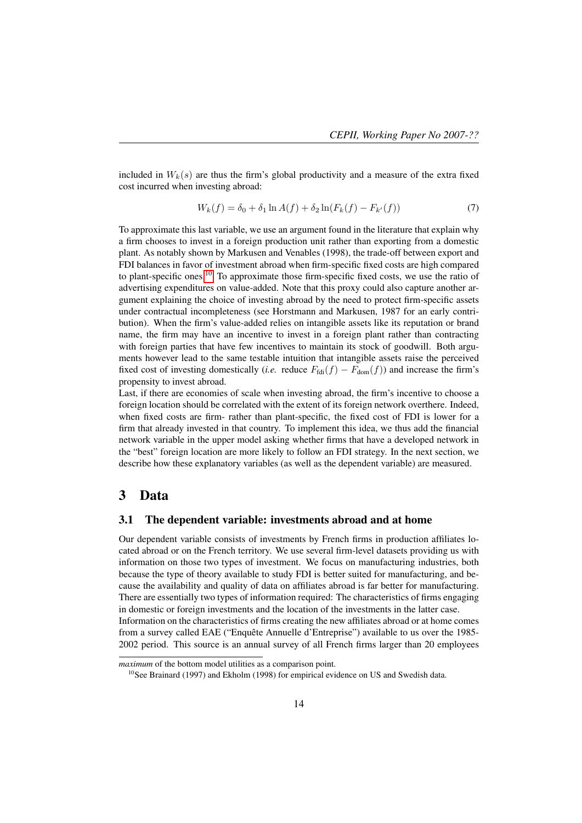included in  $W_k(s)$  are thus the firm's global productivity and a measure of the extra fixed cost incurred when investing abroad:

$$
W_k(f) = \delta_0 + \delta_1 \ln A(f) + \delta_2 \ln(F_k(f) - F_{k'}(f))
$$
\n(7)

To approximate this last variable, we use an argument found in the literature that explain why a firm chooses to invest in a foreign production unit rather than exporting from a domestic plant. As notably shown by Markusen and Venables (1998), the trade-off between export and FDI balances in favor of investment abroad when firm-specific fixed costs are high compared to plant-specific ones.<sup>10</sup> To approximate those firm-specific fixed costs, we use the ratio of advertising expenditures on value-added. Note that this proxy could also capture another argument explaining the choice of investing abroad by the need to protect firm-specific assets under contractual incompleteness (see Horstmann and Markusen, 1987 for an early contribution). When the firm's value-added relies on intangible assets like its reputation or brand name, the firm may have an incentive to invest in a foreign plant rather than contracting with foreign parties that have few incentives to maintain its stock of goodwill. Both arguments however lead to the same testable intuition that intangible assets raise the perceived fixed cost of investing domestically (*i.e.* reduce  $F_{\text{fdi}}(f) - F_{\text{dom}}(f)$ ) and increase the firm's propensity to invest abroad.

Last, if there are economies of scale when investing abroad, the firm's incentive to choose a foreign location should be correlated with the extent of its foreign network overthere. Indeed, when fixed costs are firm- rather than plant-specific, the fixed cost of FDI is lower for a firm that already invested in that country. To implement this idea, we thus add the financial network variable in the upper model asking whether firms that have a developed network in the "best" foreign location are more likely to follow an FDI strategy. In the next section, we describe how these explanatory variables (as well as the dependent variable) are measured.

## 3 Data

#### 3.1 The dependent variable: investments abroad and at home

Our dependent variable consists of investments by French firms in production affiliates located abroad or on the French territory. We use several firm-level datasets providing us with information on those two types of investment. We focus on manufacturing industries, both because the type of theory available to study FDI is better suited for manufacturing, and because the availability and quality of data on affiliates abroad is far better for manufacturing. There are essentially two types of information required: The characteristics of firms engaging in domestic or foreign investments and the location of the investments in the latter case. Information on the characteristics of firms creating the new affiliates abroad or at home comes from a survey called EAE ("Enquête Annuelle d'Entreprise") available to us over the 1985- 2002 period. This source is an annual survey of all French firms larger than 20 employees

*maximum* of the bottom model utilities as a comparison point.

<sup>&</sup>lt;sup>10</sup>See Brainard (1997) and Ekholm (1998) for empirical evidence on US and Swedish data.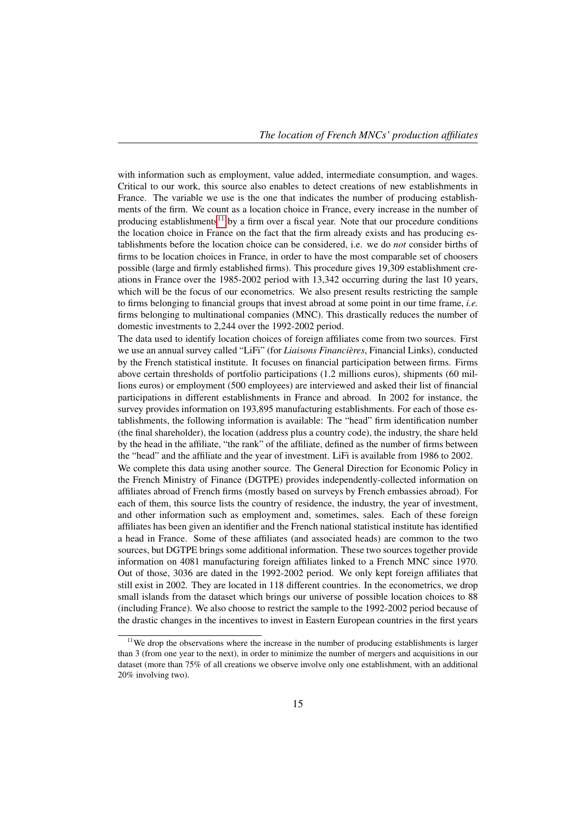with information such as employment, value added, intermediate consumption, and wages. Critical to our work, this source also enables to detect creations of new establishments in France. The variable we use is the one that indicates the number of producing establishments of the firm. We count as a location choice in France, every increase in the number of producing establishments<sup>11</sup> by a firm over a fiscal year. Note that our procedure conditions the location choice in France on the fact that the firm already exists and has producing establishments before the location choice can be considered, i.e. we do *not* consider births of firms to be location choices in France, in order to have the most comparable set of choosers possible (large and firmly established firms). This procedure gives 19,309 establishment creations in France over the 1985-2002 period with 13,342 occurring during the last 10 years, which will be the focus of our econometrics. We also present results restricting the sample to firms belonging to financial groups that invest abroad at some point in our time frame, *i.e.* firms belonging to multinational companies (MNC). This drastically reduces the number of domestic investments to 2,244 over the 1992-2002 period.

The data used to identify location choices of foreign affiliates come from two sources. First we use an annual survey called "LiFi" (for *Liaisons Financières*, Financial Links), conducted by the French statistical institute. It focuses on financial participation between firms. Firms above certain thresholds of portfolio participations (1.2 millions euros), shipments (60 millions euros) or employment (500 employees) are interviewed and asked their list of financial participations in different establishments in France and abroad. In 2002 for instance, the survey provides information on 193,895 manufacturing establishments. For each of those establishments, the following information is available: The "head" firm identification number (the final shareholder), the location (address plus a country code), the industry, the share held by the head in the affiliate, "the rank" of the affiliate, defined as the number of firms between the "head" and the affiliate and the year of investment. LiFi is available from 1986 to 2002. We complete this data using another source. The General Direction for Economic Policy in the French Ministry of Finance (DGTPE) provides independently-collected information on affiliates abroad of French firms (mostly based on surveys by French embassies abroad). For each of them, this source lists the country of residence, the industry, the year of investment, and other information such as employment and, sometimes, sales. Each of these foreign affiliates has been given an identifier and the French national statistical institute has identified a head in France. Some of these affiliates (and associated heads) are common to the two sources, but DGTPE brings some additional information. These two sources together provide information on 4081 manufacturing foreign affiliates linked to a French MNC since 1970. Out of those, 3036 are dated in the 1992-2002 period. We only kept foreign affiliates that still exist in 2002. They are located in 118 different countries. In the econometrics, we drop small islands from the dataset which brings our universe of possible location choices to 88 (including France). We also choose to restrict the sample to the 1992-2002 period because of the drastic changes in the incentives to invest in Eastern European countries in the first years

<sup>&</sup>lt;sup>11</sup>We drop the observations where the increase in the number of producing establishments is larger than 3 (from one year to the next), in order to minimize the number of mergers and acquisitions in our dataset (more than 75% of all creations we observe involve only one establishment, with an additional 20% involving two).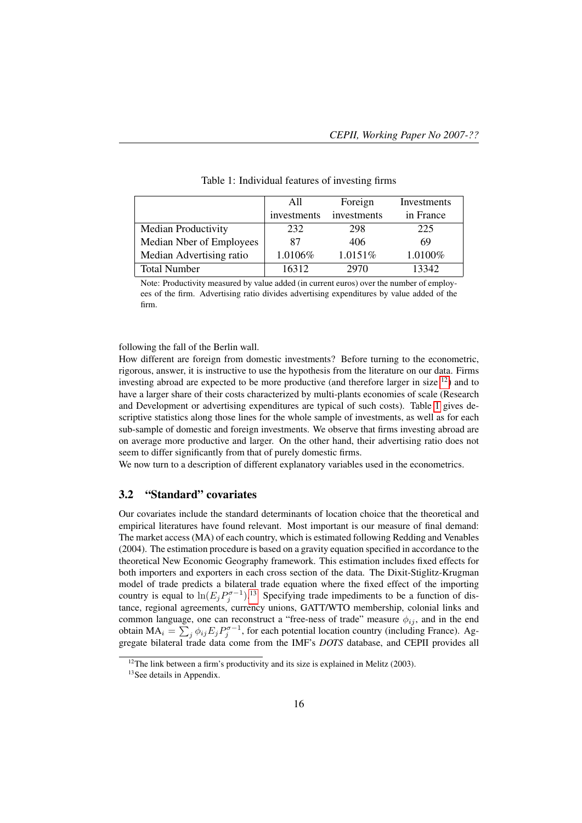|                            | All         | Foreign     | Investments |
|----------------------------|-------------|-------------|-------------|
|                            | investments | investments | in France   |
| <b>Median Productivity</b> | 232         | 298         | 225         |
| Median Nber of Employees   | 87          | 406         | 69          |
| Median Advertising ratio   | 1.0106%     | 1.0151%     | 1.0100%     |
| <b>Total Number</b>        | 16312       | 2970        | 13342       |

Table 1: Individual features of investing firms

Note: Productivity measured by value added (in current euros) over the number of employees of the firm. Advertising ratio divides advertising expenditures by value added of the firm.

following the fall of the Berlin wall.

How different are foreign from domestic investments? Before turning to the econometric, rigorous, answer, it is instructive to use the hypothesis from the literature on our data. Firms investing abroad are expected to be more productive (and therefore larger in size  $^{12}$ ) and to have a larger share of their costs characterized by multi-plants economies of scale (Research and Development or advertising expenditures are typical of such costs). Table 1 gives descriptive statistics along those lines for the whole sample of investments, as well as for each sub-sample of domestic and foreign investments. We observe that firms investing abroad are on average more productive and larger. On the other hand, their advertising ratio does not seem to differ significantly from that of purely domestic firms.

We now turn to a description of different explanatory variables used in the econometrics.

#### 3.2 "Standard" covariates

Our covariates include the standard determinants of location choice that the theoretical and empirical literatures have found relevant. Most important is our measure of final demand: The market access (MA) of each country, which is estimated following Redding and Venables (2004). The estimation procedure is based on a gravity equation specified in accordance to the theoretical New Economic Geography framework. This estimation includes fixed effects for both importers and exporters in each cross section of the data. The Dixit-Stiglitz-Krugman model of trade predicts a bilateral trade equation where the fixed effect of the importing country is equal to  $\ln(E_j P_j^{\sigma-1})$ .<sup>13</sup> Specifying trade impediments to be a function of distance, regional agreements, currency unions, GATT/WTO membership, colonial links and common language, one can reconstruct a "free-ness of trade" measure  $\phi_{ij}$ , and in the end obtain  $MA_i = \sum_j \phi_{ij} E_j P_j^{\sigma-1}$ , for each potential location country (including France). Aggregate bilateral trade data come from the IMF's *DOTS* database, and CEPII provides all

 $12$ The link between a firm's productivity and its size is explained in Melitz (2003).

<sup>&</sup>lt;sup>13</sup>See details in Appendix.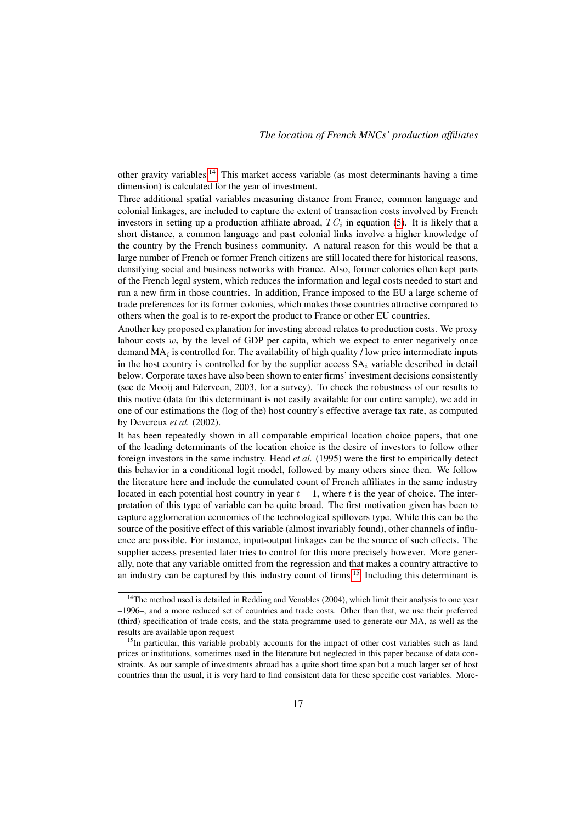other gravity variables.14 This market access variable (as most determinants having a time dimension) is calculated for the year of investment.

Three additional spatial variables measuring distance from France, common language and colonial linkages, are included to capture the extent of transaction costs involved by French investors in setting up a production affiliate abroad,  $TC_i$  in equation (5). It is likely that a short distance, a common language and past colonial links involve a higher knowledge of the country by the French business community. A natural reason for this would be that a large number of French or former French citizens are still located there for historical reasons, densifying social and business networks with France. Also, former colonies often kept parts of the French legal system, which reduces the information and legal costs needed to start and run a new firm in those countries. In addition, France imposed to the EU a large scheme of trade preferences for its former colonies, which makes those countries attractive compared to others when the goal is to re-export the product to France or other EU countries.

Another key proposed explanation for investing abroad relates to production costs. We proxy labour costs  $w_i$  by the level of GDP per capita, which we expect to enter negatively once demand  $MA_i$  is controlled for. The availability of high quality / low price intermediate inputs in the host country is controlled for by the supplier access  $SA_i$  variable described in detail below. Corporate taxes have also been shown to enter firms' investment decisions consistently (see de Mooij and Ederveen, 2003, for a survey). To check the robustness of our results to this motive (data for this determinant is not easily available for our entire sample), we add in one of our estimations the (log of the) host country's effective average tax rate, as computed by Devereux *et al.* (2002).

It has been repeatedly shown in all comparable empirical location choice papers, that one of the leading determinants of the location choice is the desire of investors to follow other foreign investors in the same industry. Head *et al.* (1995) were the first to empirically detect this behavior in a conditional logit model, followed by many others since then. We follow the literature here and include the cumulated count of French affiliates in the same industry located in each potential host country in year  $t - 1$ , where t is the year of choice. The interpretation of this type of variable can be quite broad. The first motivation given has been to capture agglomeration economies of the technological spillovers type. While this can be the source of the positive effect of this variable (almost invariably found), other channels of influence are possible. For instance, input-output linkages can be the source of such effects. The supplier access presented later tries to control for this more precisely however. More generally, note that any variable omitted from the regression and that makes a country attractive to an industry can be captured by this industry count of firms.15 Including this determinant is

 $14$ The method used is detailed in Redding and Venables (2004), which limit their analysis to one year –1996–, and a more reduced set of countries and trade costs. Other than that, we use their preferred (third) specification of trade costs, and the stata programme used to generate our MA, as well as the results are available upon request

 $<sup>15</sup>$ In particular, this variable probably accounts for the impact of other cost variables such as land</sup> prices or institutions, sometimes used in the literature but neglected in this paper because of data constraints. As our sample of investments abroad has a quite short time span but a much larger set of host countries than the usual, it is very hard to find consistent data for these specific cost variables. More-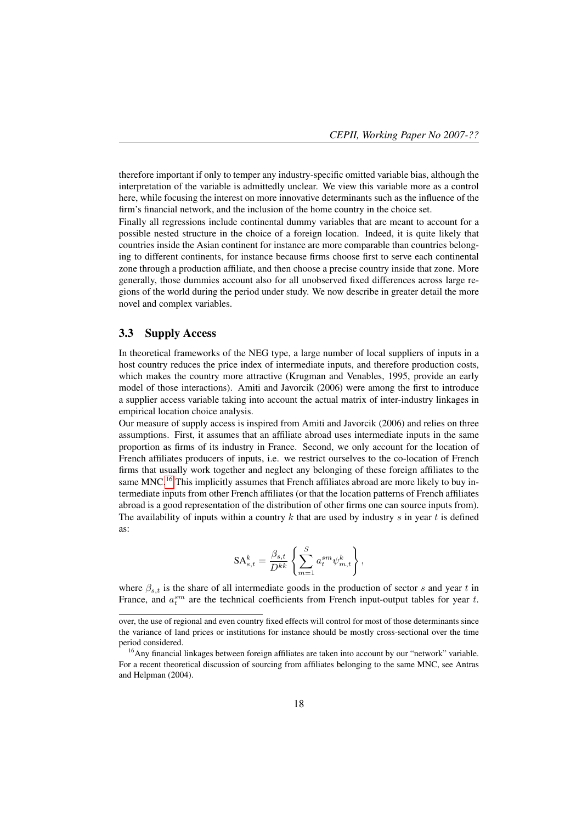therefore important if only to temper any industry-specific omitted variable bias, although the interpretation of the variable is admittedly unclear. We view this variable more as a control here, while focusing the interest on more innovative determinants such as the influence of the firm's financial network, and the inclusion of the home country in the choice set.

Finally all regressions include continental dummy variables that are meant to account for a possible nested structure in the choice of a foreign location. Indeed, it is quite likely that countries inside the Asian continent for instance are more comparable than countries belonging to different continents, for instance because firms choose first to serve each continental zone through a production affiliate, and then choose a precise country inside that zone. More generally, those dummies account also for all unobserved fixed differences across large regions of the world during the period under study. We now describe in greater detail the more novel and complex variables.

#### 3.3 Supply Access

In theoretical frameworks of the NEG type, a large number of local suppliers of inputs in a host country reduces the price index of intermediate inputs, and therefore production costs, which makes the country more attractive (Krugman and Venables, 1995, provide an early model of those interactions). Amiti and Javorcik (2006) were among the first to introduce a supplier access variable taking into account the actual matrix of inter-industry linkages in empirical location choice analysis.

Our measure of supply access is inspired from Amiti and Javorcik (2006) and relies on three assumptions. First, it assumes that an affiliate abroad uses intermediate inputs in the same proportion as firms of its industry in France. Second, we only account for the location of French affiliates producers of inputs, i.e. we restrict ourselves to the co-location of French firms that usually work together and neglect any belonging of these foreign affiliates to the same MNC.<sup>16</sup> This implicitly assumes that French affiliates abroad are more likely to buy intermediate inputs from other French affiliates (or that the location patterns of French affiliates abroad is a good representation of the distribution of other firms one can source inputs from). The availability of inputs within a country  $k$  that are used by industry  $s$  in year  $t$  is defined as:

$$
\mathbf{SA}_{s,t}^k = \frac{\beta_{s,t}}{D^{kk}} \left\{ \sum_{m=1}^S a_t^{sm} \psi_{m,t}^k \right\},\,
$$

where  $\beta_{s,t}$  is the share of all intermediate goods in the production of sector s and year t in France, and  $a_t^{sm}$  are the technical coefficients from French input-output tables for year t.

over, the use of regional and even country fixed effects will control for most of those determinants since the variance of land prices or institutions for instance should be mostly cross-sectional over the time period considered.

<sup>&</sup>lt;sup>16</sup> Any financial linkages between foreign affiliates are taken into account by our "network" variable. For a recent theoretical discussion of sourcing from affiliates belonging to the same MNC, see Antras and Helpman (2004).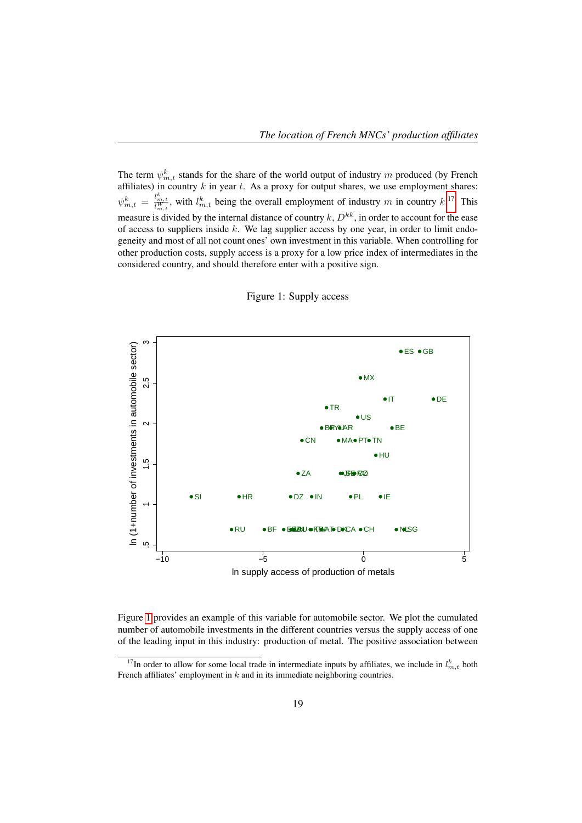The term  $\psi_{m,t}^k$  stands for the share of the world output of industry m produced (by French affiliates) in country  $k$  in year  $t$ . As a proxy for output shares, we use employment shares:  $\psi_{m,t}^k = \frac{l_{m,t}^k}{l_{m,t}^W}$ , with  $l_{m,t}^k$  being the overall employment of industry m in country  $k$ .<sup>17</sup> This measure is divided by the internal distance of country  $k$ ,  $D^{kk}$ , in order to account for the ease of access to suppliers inside  $k$ . We lag supplier access by one year, in order to limit endogeneity and most of all not count ones' own investment in this variable. When controlling for other production costs, supply access is a proxy for a low price index of intermediates in the considered country, and should therefore enter with a positive sign.



#### Figure 1: Supply access

Figure 1 provides an example of this variable for automobile sector. We plot the cumulated number of automobile investments in the different countries versus the supply access of one of the leading input in this industry: production of metal. The positive association between

<sup>&</sup>lt;sup>17</sup>In order to allow for some local trade in intermediate inputs by affiliates, we include in  $l_{m,t}^k$  both French affiliates' employment in  $k$  and in its immediate neighboring countries.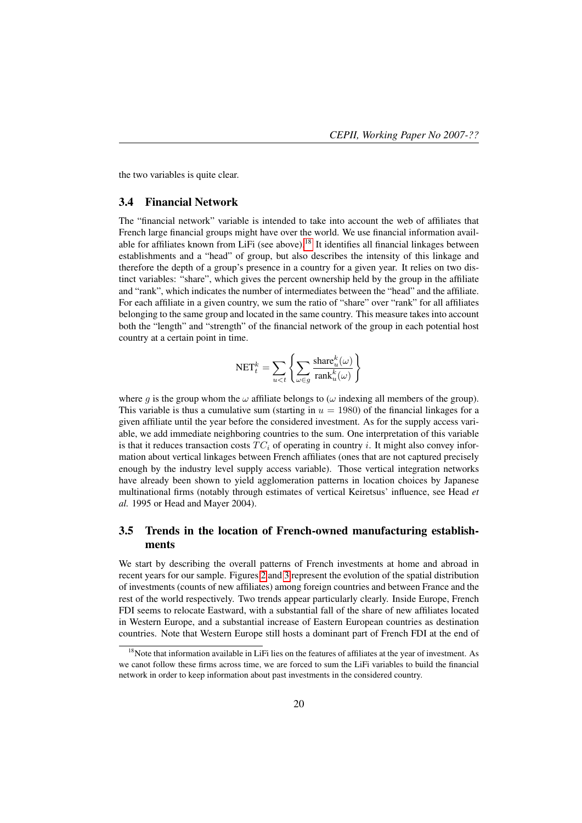the two variables is quite clear.

#### 3.4 Financial Network

The "financial network" variable is intended to take into account the web of affiliates that French large financial groups might have over the world. We use financial information available for affiliates known from LiFi (see above).18 It identifies all financial linkages between establishments and a "head" of group, but also describes the intensity of this linkage and therefore the depth of a group's presence in a country for a given year. It relies on two distinct variables: "share", which gives the percent ownership held by the group in the affiliate and "rank", which indicates the number of intermediates between the "head" and the affiliate. For each affiliate in a given country, we sum the ratio of "share" over "rank" for all affiliates belonging to the same group and located in the same country. This measure takes into account both the "length" and "strength" of the financial network of the group in each potential host country at a certain point in time.

$$
\text{NET}^k_t = \sum_{u < t} \left\{ \sum_{\omega \in g} \frac{\text{share}^k_u(\omega)}{\text{rank}^k_u(\omega)} \right\}
$$

where g is the group whom the  $\omega$  affiliate belongs to ( $\omega$  indexing all members of the group). This variable is thus a cumulative sum (starting in  $u = 1980$ ) of the financial linkages for a given affiliate until the year before the considered investment. As for the supply access variable, we add immediate neighboring countries to the sum. One interpretation of this variable is that it reduces transaction costs  $TC_i$  of operating in country i. It might also convey information about vertical linkages between French affiliates (ones that are not captured precisely enough by the industry level supply access variable). Those vertical integration networks have already been shown to yield agglomeration patterns in location choices by Japanese multinational firms (notably through estimates of vertical Keiretsus' influence, see Head *et al.* 1995 or Head and Mayer 2004).

#### 3.5 Trends in the location of French-owned manufacturing establishments

We start by describing the overall patterns of French investments at home and abroad in recent years for our sample. Figures 2 and 3 represent the evolution of the spatial distribution of investments (counts of new affiliates) among foreign countries and between France and the rest of the world respectively. Two trends appear particularly clearly. Inside Europe, French FDI seems to relocate Eastward, with a substantial fall of the share of new affiliates located in Western Europe, and a substantial increase of Eastern European countries as destination countries. Note that Western Europe still hosts a dominant part of French FDI at the end of

<sup>&</sup>lt;sup>18</sup>Note that information available in LiFi lies on the features of affiliates at the year of investment. As we canot follow these firms across time, we are forced to sum the LiFi variables to build the financial network in order to keep information about past investments in the considered country.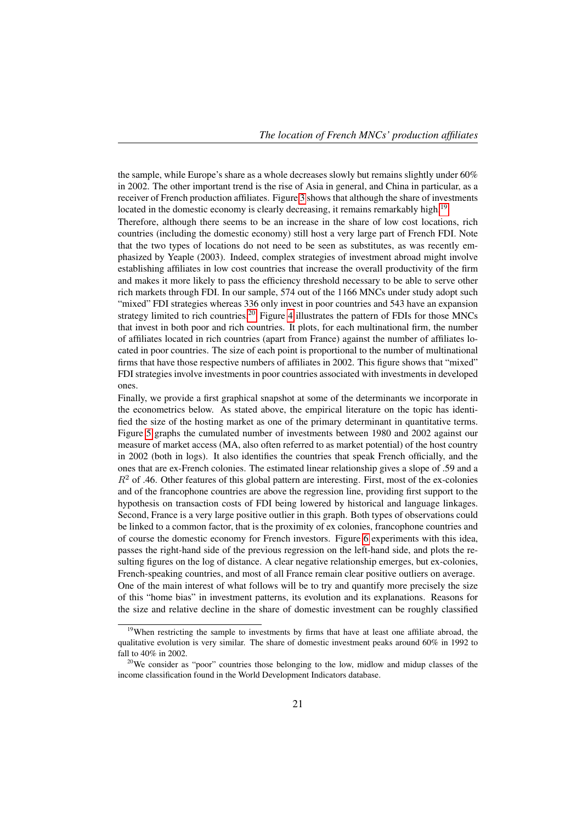the sample, while Europe's share as a whole decreases slowly but remains slightly under 60% in 2002. The other important trend is the rise of Asia in general, and China in particular, as a receiver of French production affiliates. Figure 3 shows that although the share of investments located in the domestic economy is clearly decreasing, it remains remarkably high.<sup>19</sup>

Therefore, although there seems to be an increase in the share of low cost locations, rich countries (including the domestic economy) still host a very large part of French FDI. Note that the two types of locations do not need to be seen as substitutes, as was recently emphasized by Yeaple (2003). Indeed, complex strategies of investment abroad might involve establishing affiliates in low cost countries that increase the overall productivity of the firm and makes it more likely to pass the efficiency threshold necessary to be able to serve other rich markets through FDI. In our sample, 574 out of the 1166 MNCs under study adopt such "mixed" FDI strategies whereas 336 only invest in poor countries and 543 have an expansion strategy limited to rich countries.<sup>20</sup> Figure 4 illustrates the pattern of FDIs for those MNCs that invest in both poor and rich countries. It plots, for each multinational firm, the number of affiliates located in rich countries (apart from France) against the number of affiliates located in poor countries. The size of each point is proportional to the number of multinational firms that have those respective numbers of affiliates in 2002. This figure shows that "mixed" FDI strategies involve investments in poor countries associated with investments in developed ones.

Finally, we provide a first graphical snapshot at some of the determinants we incorporate in the econometrics below. As stated above, the empirical literature on the topic has identified the size of the hosting market as one of the primary determinant in quantitative terms. Figure 5 graphs the cumulated number of investments between 1980 and 2002 against our measure of market access (MA, also often referred to as market potential) of the host country in 2002 (both in logs). It also identifies the countries that speak French officially, and the ones that are ex-French colonies. The estimated linear relationship gives a slope of .59 and a  $R<sup>2</sup>$  of .46. Other features of this global pattern are interesting. First, most of the ex-colonies and of the francophone countries are above the regression line, providing first support to the hypothesis on transaction costs of FDI being lowered by historical and language linkages. Second, France is a very large positive outlier in this graph. Both types of observations could be linked to a common factor, that is the proximity of ex colonies, francophone countries and of course the domestic economy for French investors. Figure 6 experiments with this idea, passes the right-hand side of the previous regression on the left-hand side, and plots the resulting figures on the log of distance. A clear negative relationship emerges, but ex-colonies, French-speaking countries, and most of all France remain clear positive outliers on average. One of the main interest of what follows will be to try and quantify more precisely the size of this "home bias" in investment patterns, its evolution and its explanations. Reasons for the size and relative decline in the share of domestic investment can be roughly classified

<sup>&</sup>lt;sup>19</sup>When restricting the sample to investments by firms that have at least one affiliate abroad, the qualitative evolution is very similar. The share of domestic investment peaks around 60% in 1992 to fall to 40% in 2002.

<sup>&</sup>lt;sup>20</sup>We consider as "poor" countries those belonging to the low, midlow and midup classes of the income classification found in the World Development Indicators database.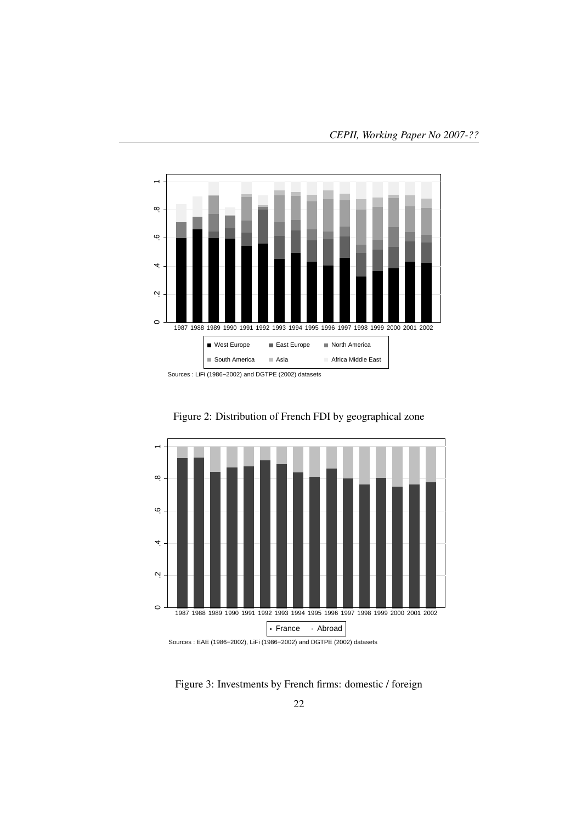

 .2 .4 .6 .8 1  $\infty$  $\ddot{\circ}$ 4  $\mathbf{a}$  $\circ$ 1987 1988 1989 1990 1991 1992 1993 1994 1995 1996 1997 1998 1999 2000 2001 2002 France Abroad Sources : EAE (1986−2002), LiFi (1986−2002) and DGTPE (2002) datasets

Figure 2: Distribution of French FDI by geographical zone

Figure 3: Investments by French firms: domestic / foreign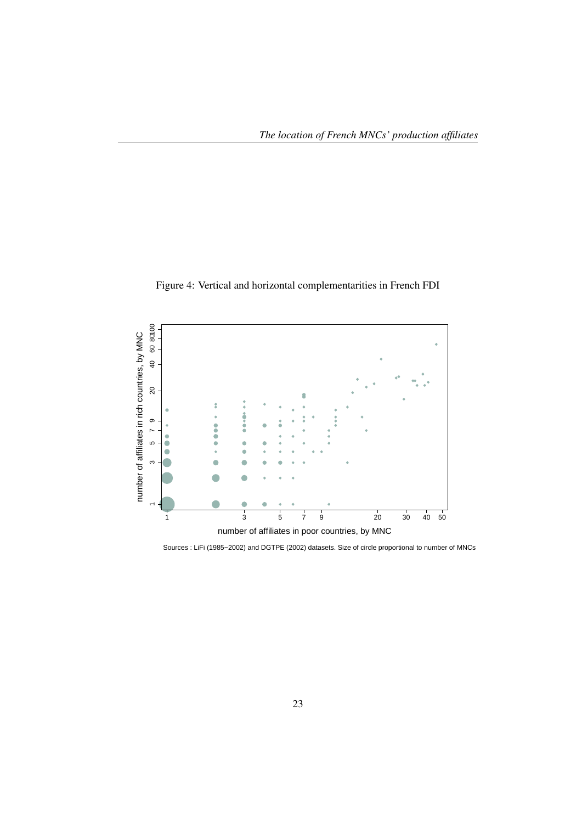



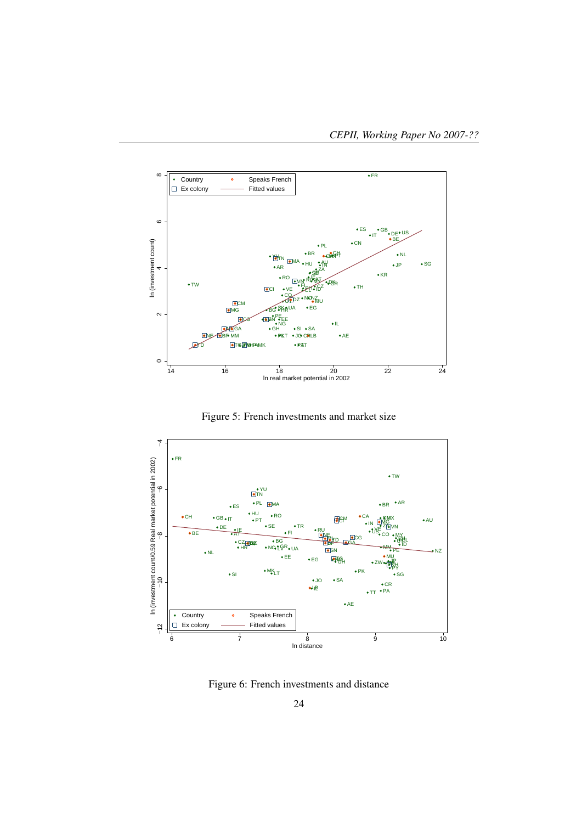





Figure 6: French investments and distance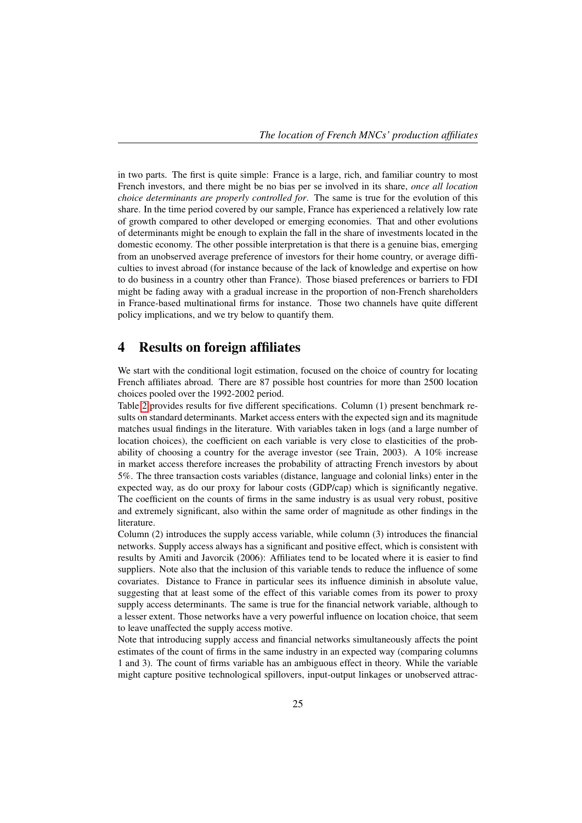in two parts. The first is quite simple: France is a large, rich, and familiar country to most French investors, and there might be no bias per se involved in its share, *once all location choice determinants are properly controlled for*. The same is true for the evolution of this share. In the time period covered by our sample, France has experienced a relatively low rate of growth compared to other developed or emerging economies. That and other evolutions of determinants might be enough to explain the fall in the share of investments located in the domestic economy. The other possible interpretation is that there is a genuine bias, emerging from an unobserved average preference of investors for their home country, or average difficulties to invest abroad (for instance because of the lack of knowledge and expertise on how to do business in a country other than France). Those biased preferences or barriers to FDI might be fading away with a gradual increase in the proportion of non-French shareholders in France-based multinational firms for instance. Those two channels have quite different policy implications, and we try below to quantify them.

### 4 Results on foreign affiliates

We start with the conditional logit estimation, focused on the choice of country for locating French affiliates abroad. There are 87 possible host countries for more than 2500 location choices pooled over the 1992-2002 period.

Table 2 provides results for five different specifications. Column (1) present benchmark results on standard determinants. Market access enters with the expected sign and its magnitude matches usual findings in the literature. With variables taken in logs (and a large number of location choices), the coefficient on each variable is very close to elasticities of the probability of choosing a country for the average investor (see Train, 2003). A 10% increase in market access therefore increases the probability of attracting French investors by about 5%. The three transaction costs variables (distance, language and colonial links) enter in the expected way, as do our proxy for labour costs (GDP/cap) which is significantly negative. The coefficient on the counts of firms in the same industry is as usual very robust, positive and extremely significant, also within the same order of magnitude as other findings in the literature.

Column (2) introduces the supply access variable, while column (3) introduces the financial networks. Supply access always has a significant and positive effect, which is consistent with results by Amiti and Javorcik (2006): Affiliates tend to be located where it is easier to find suppliers. Note also that the inclusion of this variable tends to reduce the influence of some covariates. Distance to France in particular sees its influence diminish in absolute value, suggesting that at least some of the effect of this variable comes from its power to proxy supply access determinants. The same is true for the financial network variable, although to a lesser extent. Those networks have a very powerful influence on location choice, that seem to leave unaffected the supply access motive.

Note that introducing supply access and financial networks simultaneously affects the point estimates of the count of firms in the same industry in an expected way (comparing columns 1 and 3). The count of firms variable has an ambiguous effect in theory. While the variable might capture positive technological spillovers, input-output linkages or unobserved attrac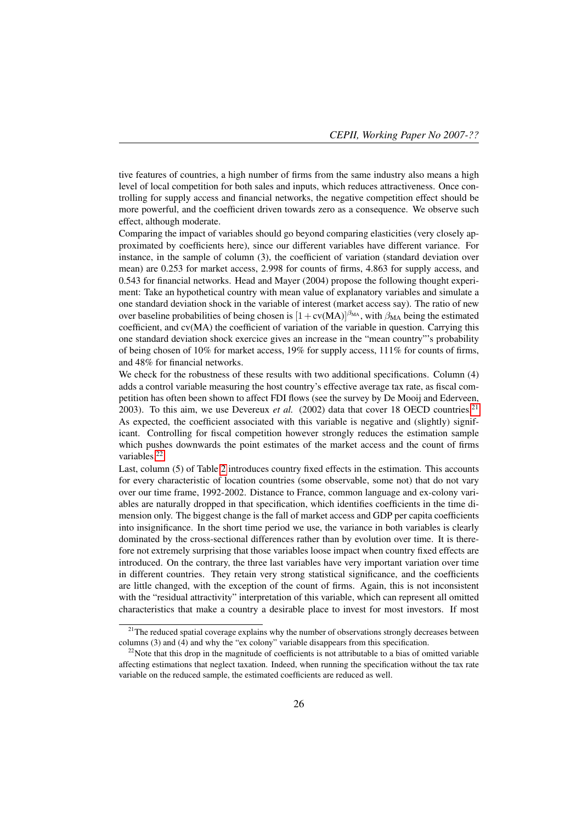tive features of countries, a high number of firms from the same industry also means a high level of local competition for both sales and inputs, which reduces attractiveness. Once controlling for supply access and financial networks, the negative competition effect should be more powerful, and the coefficient driven towards zero as a consequence. We observe such effect, although moderate.

Comparing the impact of variables should go beyond comparing elasticities (very closely approximated by coefficients here), since our different variables have different variance. For instance, in the sample of column (3), the coefficient of variation (standard deviation over mean) are 0.253 for market access, 2.998 for counts of firms, 4.863 for supply access, and 0.543 for financial networks. Head and Mayer (2004) propose the following thought experiment: Take an hypothetical country with mean value of explanatory variables and simulate a one standard deviation shock in the variable of interest (market access say). The ratio of new over baseline probabilities of being chosen is  $[1 + cv(MA)]^{\beta_{MA}}$ , with  $\beta_{MA}$  being the estimated coefficient, and cv(MA) the coefficient of variation of the variable in question. Carrying this one standard deviation shock exercice gives an increase in the "mean country"'s probability of being chosen of 10% for market access, 19% for supply access, 111% for counts of firms, and 48% for financial networks.

We check for the robustness of these results with two additional specifications. Column (4) adds a control variable measuring the host country's effective average tax rate, as fiscal competition has often been shown to affect FDI flows (see the survey by De Mooij and Ederveen, 2003). To this aim, we use Devereux *et al.* (2002) data that cover 18 OECD countries.<sup>21</sup> As expected, the coefficient associated with this variable is negative and (slightly) significant. Controlling for fiscal competition however strongly reduces the estimation sample which pushes downwards the point estimates of the market access and the count of firms variables.22

Last, column (5) of Table 2 introduces country fixed effects in the estimation. This accounts for every characteristic of location countries (some observable, some not) that do not vary over our time frame, 1992-2002. Distance to France, common language and ex-colony variables are naturally dropped in that specification, which identifies coefficients in the time dimension only. The biggest change is the fall of market access and GDP per capita coefficients into insignificance. In the short time period we use, the variance in both variables is clearly dominated by the cross-sectional differences rather than by evolution over time. It is therefore not extremely surprising that those variables loose impact when country fixed effects are introduced. On the contrary, the three last variables have very important variation over time in different countries. They retain very strong statistical significance, and the coefficients are little changed, with the exception of the count of firms. Again, this is not inconsistent with the "residual attractivity" interpretation of this variable, which can represent all omitted characteristics that make a country a desirable place to invest for most investors. If most

 $21$ The reduced spatial coverage explains why the number of observations strongly decreases between columns (3) and (4) and why the "ex colony" variable disappears from this specification.

 $22$ Note that this drop in the magnitude of coefficients is not attributable to a bias of omitted variable affecting estimations that neglect taxation. Indeed, when running the specification without the tax rate variable on the reduced sample, the estimated coefficients are reduced as well.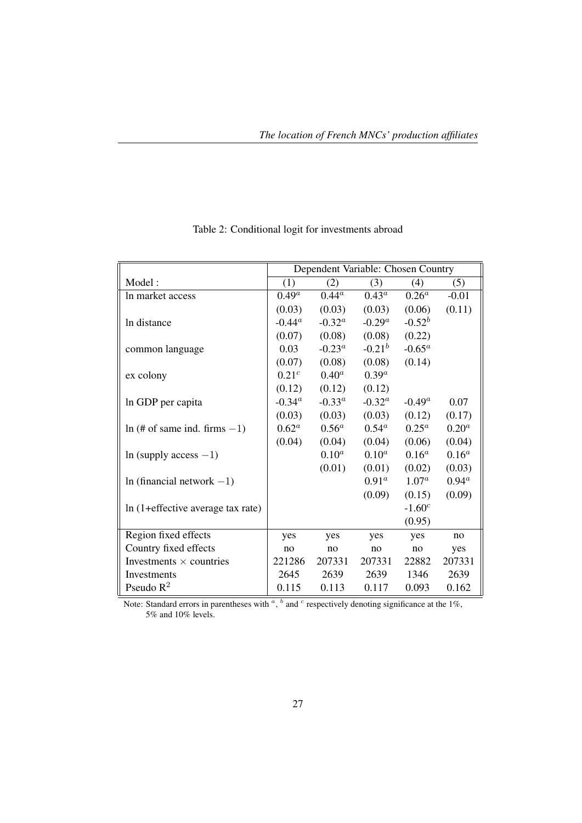|                                    |                   |           | Dependent Variable: Chosen Country |           |          |
|------------------------------------|-------------------|-----------|------------------------------------|-----------|----------|
| Model:                             | (1)               | (2)       | (3)                                | (4)       | (5)      |
| In market access                   | $0.49^a$          | $0.44^a$  | $0.43^a$                           | $0.26^a$  | $-0.01$  |
|                                    | (0.03)            | (0.03)    | (0.03)                             | (0.06)    | (0.11)   |
| In distance                        | $-0.44^a$         | $-0.32^a$ | $-0.29^a$                          | $-0.52^b$ |          |
|                                    | (0.07)            | (0.08)    | (0.08)                             | (0.22)    |          |
| common language                    | 0.03              | $-0.23^a$ | $-0.21^{b}$                        | $-0.65^a$ |          |
|                                    | (0.07)            | (0.08)    | (0.08)                             | (0.14)    |          |
| ex colony                          | 0.21 <sup>c</sup> | $0.40^a$  | $0.39^a$                           |           |          |
|                                    | (0.12)            | (0.12)    | (0.12)                             |           |          |
| In GDP per capita                  | $-0.34^a$         | $-0.33^a$ | $-0.32^{\alpha}$                   | $-0.49^a$ | 0.07     |
|                                    | (0.03)            | (0.03)    | (0.03)                             | (0.12)    | (0.17)   |
| $\ln$ (# of same ind. firms $-1$ ) | $0.62^a$          | $0.56^a$  | $0.54^{\rm a}$                     | $0.25^a$  | $0.20^a$ |
|                                    | (0.04)            | (0.04)    | (0.04)                             | (0.06)    | (0.04)   |
| In (supply access $-1$ )           |                   | $0.10^a$  | $0.10^a$                           | $0.16^a$  | $0.16^a$ |
|                                    |                   | (0.01)    | (0.01)                             | (0.02)    | (0.03)   |
| In (financial network $-1$ )       |                   |           | $0.91^a$                           | $1.07^a$  | $0.94^a$ |
|                                    |                   |           | (0.09)                             | (0.15)    | (0.09)   |
| In (1+effective average tax rate)  |                   |           |                                    | $-1.60^c$ |          |
|                                    |                   |           |                                    | (0.95)    |          |
| Region fixed effects               | yes               | yes       | yes                                | yes       | no       |
| Country fixed effects              | no                | no        | no                                 | no        | yes      |
| Investments $\times$ countries     | 221286            | 207331    | 207331                             | 22882     | 207331   |
| Investments                        | 2645              | 2639      | 2639                               | 1346      | 2639     |
| Pseudo $R^2$                       | 0.115             | 0.113     | 0.117                              | 0.093     | 0.162    |

## Table 2: Conditional logit for investments abroad

Note: Standard errors in parentheses with  $\alpha$ ,  $\beta$  and  $\beta$  respectively denoting significance at the 1%, 5% and 10% levels.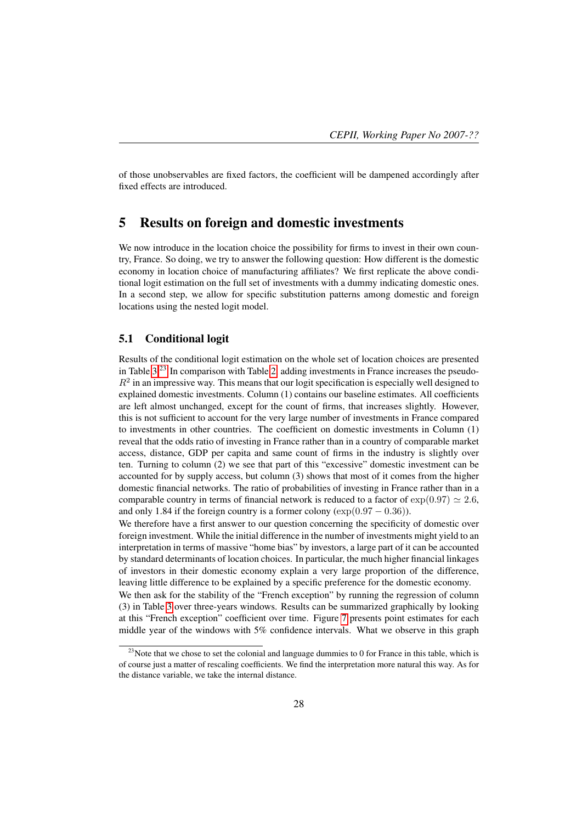of those unobservables are fixed factors, the coefficient will be dampened accordingly after fixed effects are introduced.

### 5 Results on foreign and domestic investments

We now introduce in the location choice the possibility for firms to invest in their own country, France. So doing, we try to answer the following question: How different is the domestic economy in location choice of manufacturing affiliates? We first replicate the above conditional logit estimation on the full set of investments with a dummy indicating domestic ones. In a second step, we allow for specific substitution patterns among domestic and foreign locations using the nested logit model.

#### 5.1 Conditional logit

Results of the conditional logit estimation on the whole set of location choices are presented in Table  $3<sup>23</sup>$  In comparison with Table 2, adding investments in France increases the pseudo- $R<sup>2</sup>$  in an impressive way. This means that our logit specification is especially well designed to explained domestic investments. Column (1) contains our baseline estimates. All coefficients are left almost unchanged, except for the count of firms, that increases slightly. However, this is not sufficient to account for the very large number of investments in France compared to investments in other countries. The coefficient on domestic investments in Column (1) reveal that the odds ratio of investing in France rather than in a country of comparable market access, distance, GDP per capita and same count of firms in the industry is slightly over ten. Turning to column (2) we see that part of this "excessive" domestic investment can be accounted for by supply access, but column (3) shows that most of it comes from the higher domestic financial networks. The ratio of probabilities of investing in France rather than in a comparable country in terms of financial network is reduced to a factor of  $\exp(0.97) \simeq 2.6$ , and only 1.84 if the foreign country is a former colony ( $\exp(0.97 - 0.36)$ ).

We therefore have a first answer to our question concerning the specificity of domestic over foreign investment. While the initial difference in the number of investments might yield to an interpretation in terms of massive "home bias" by investors, a large part of it can be accounted by standard determinants of location choices. In particular, the much higher financial linkages of investors in their domestic economy explain a very large proportion of the difference, leaving little difference to be explained by a specific preference for the domestic economy.

We then ask for the stability of the "French exception" by running the regression of column (3) in Table 3 over three-years windows. Results can be summarized graphically by looking at this "French exception" coefficient over time. Figure 7 presents point estimates for each middle year of the windows with 5% confidence intervals. What we observe in this graph

 $23$ Note that we chose to set the colonial and language dummies to 0 for France in this table, which is of course just a matter of rescaling coefficients. We find the interpretation more natural this way. As for the distance variable, we take the internal distance.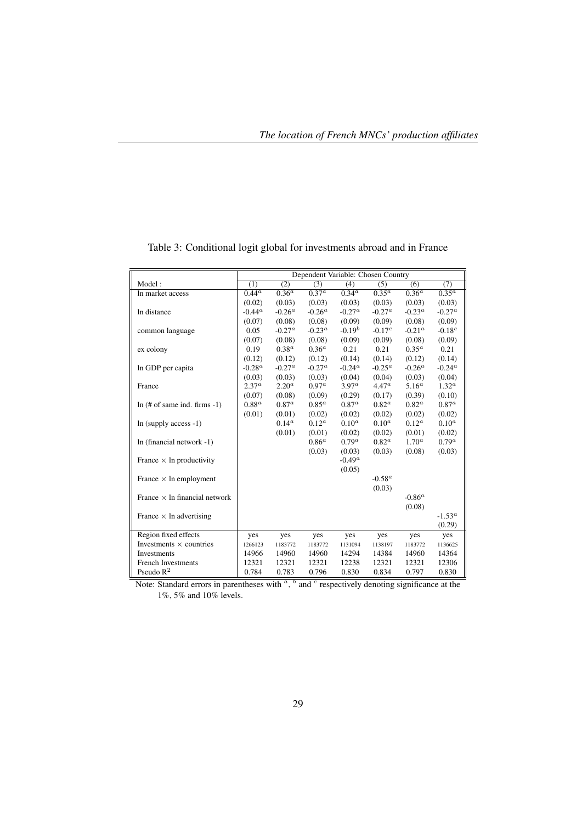|                                       |                   |                   |            | Dependent Variable: Chosen Country |                  |                   |                   |
|---------------------------------------|-------------------|-------------------|------------|------------------------------------|------------------|-------------------|-------------------|
| Model:                                | (1)               | (2)               | (3)        | (4)                                | (5)              | (6)               | (7)               |
| In market access                      | $0.44^a$          | $0.36^{a}$        | $0.37^{a}$ | $\overline{0.34^a}$                | $0.35^{a}$       | $0.36^{a}$        | $0.35^{\alpha}$   |
|                                       | (0.02)            | (0.03)            | (0.03)     | (0.03)                             | (0.03)           | (0.03)            | (0.03)            |
| In distance                           | $-0.44^a$         | $-0.26^a$         | $-0.26^a$  | $-0.27^a$                          | $-0.27^a$        | $-0.23^a$         | $-0.27^a$         |
|                                       | (0.07)            | (0.08)            | (0.08)     | (0.09)                             | (0.09)           | (0.08)            | (0.09)            |
| common language                       | 0.05              | $-0.27^a$         | $-0.23^a$  | $-0.19b$                           | $-0.17c$         | $-0.21^a$         | $-0.18^{c}$       |
|                                       | (0.07)            | (0.08)            | (0.08)     | (0.09)                             | (0.09)           | (0.08)            | (0.09)            |
| ex colony                             | 0.19              | 0.38 <sup>a</sup> | $0.36^a$   | 0.21                               | 0.21             | $0.35^{\alpha}$   | 0.21              |
|                                       | (0.12)            | (0.12)            | (0.12)     | (0.14)                             | (0.14)           | (0.12)            | (0.14)            |
| In GDP per capita                     | $-0.28^a$         | $-0.27^a$         | $-0.27^a$  | $-0.24^a$                          | $-0.25^{\alpha}$ | $-0.26^a$         | $-0.24^a$         |
|                                       | (0.03)            | (0.03)            | (0.03)     | (0.04)                             | (0.04)           | (0.03)            | (0.04)            |
| France                                | 2.37 <sup>a</sup> | 2.20 <sup>a</sup> | $0.97^a$   | 3.97 <sup>a</sup>                  | $4.47^{\circ}$   | 5.16 <sup>a</sup> | $1.32^{\alpha}$   |
|                                       | (0.07)            | (0.08)            | (0.09)     | (0.29)                             | (0.17)           | (0.39)            | (0.10)            |
| $ln(H \text{ of same ind. firms -1})$ | $0.88^a$          | 0.87 <sup>a</sup> | $0.85^a$   | 0.87 <sup>a</sup>                  | $0.82^a$         | $0.82^a$          | 0.87 <sup>a</sup> |
|                                       | (0.01)            | (0.01)            | (0.02)     | (0.02)                             | (0.02)           | (0.02)            | (0.02)            |
| $ln$ (supply access $-1$ )            |                   | $0.14^{\rm a}$    | $0.12^a$   | $0.10^a$                           | $0.10^a$         | $0.12^a$          | $0.10^a$          |
|                                       |                   | (0.01)            | (0.01)     | (0.02)                             | (0.02)           | (0.01)            | (0.02)            |
| $ln (final network -1)$               |                   |                   | $0.86^a$   | 0.79 <sup>a</sup>                  | $0.82^{\alpha}$  | 1.70 <sup>a</sup> | $0.79^a$          |
|                                       |                   |                   | (0.03)     | (0.03)                             | (0.03)           | (0.08)            | (0.03)            |
| France $\times$ ln productivity       |                   |                   |            | $-0.49^a$                          |                  |                   |                   |
|                                       |                   |                   |            | (0.05)                             |                  |                   |                   |
| France $\times$ ln employment         |                   |                   |            |                                    | $-0.58^a$        |                   |                   |
|                                       |                   |                   |            |                                    | (0.03)           |                   |                   |
| France $\times$ ln financial network  |                   |                   |            |                                    |                  | $-0.86^a$         |                   |
|                                       |                   |                   |            |                                    |                  | (0.08)            |                   |
| France $\times$ ln advertising        |                   |                   |            |                                    |                  |                   | $-1.53^a$         |
|                                       |                   |                   |            |                                    |                  |                   | (0.29)            |
| Region fixed effects                  | yes               | yes               | yes        | yes                                | yes              | yes               | yes               |
| Investments $\times$ countries        | 1266123           | 1183772           | 1183772    | 1131094                            | 1138197          | 1183772           | 1136625           |
| Investments                           | 14966             | 14960             | 14960      | 14294                              | 14384            | 14960             | 14364             |
| <b>French Investments</b>             | 12321             | 12321             | 12321      | 12238                              | 12321            | 12321             | 12306             |
| Pseudo $R^2$                          | 0.784             | 0.783             | 0.796      | 0.830                              | 0.834            | 0.797             | 0.830             |

### Table 3: Conditional logit global for investments abroad and in France

Note: Standard errors in parentheses with  $\alpha$ ,  $\beta$  and  $\beta$  respectively denoting significance at the 1%, 5% and 10% levels.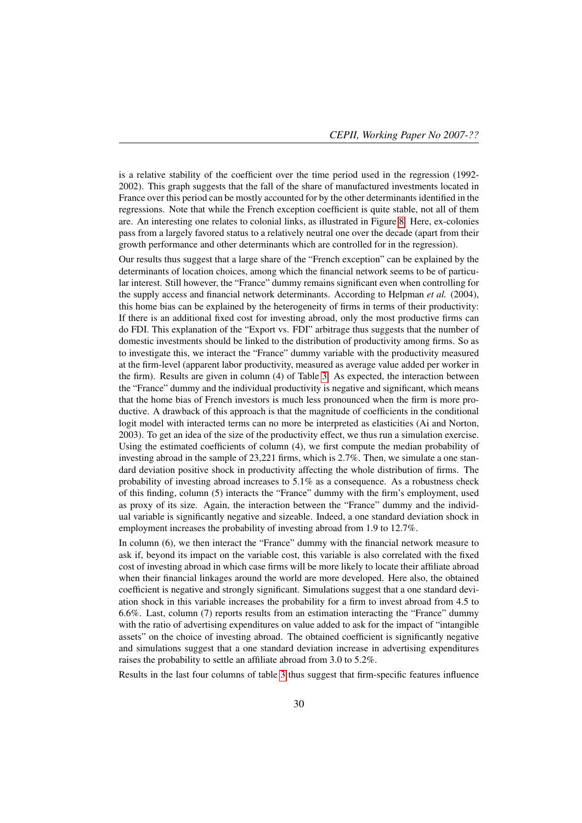is a relative stability of the coefficient over the time period used in the regression (1992- 2002). This graph suggests that the fall of the share of manufactured investments located in France over this period can be mostly accounted for by the other determinants identified in the regressions. Note that while the French exception coefficient is quite stable, not all of them are. An interesting one relates to colonial links, as illustrated in Figure 8. Here, ex-colonies pass from a largely favored status to a relatively neutral one over the decade (apart from their growth performance and other determinants which are controlled for in the regression).

Our results thus suggest that a large share of the "French exception" can be explained by the determinants of location choices, among which the financial network seems to be of particular interest. Still however, the "France" dummy remains significant even when controlling for the supply access and financial network determinants. According to Helpman *et al.* (2004), this home bias can be explained by the heterogeneity of firms in terms of their productivity: If there is an additional fixed cost for investing abroad, only the most productive firms can do FDI. This explanation of the "Export vs. FDI" arbitrage thus suggests that the number of domestic investments should be linked to the distribution of productivity among firms. So as to investigate this, we interact the "France" dummy variable with the productivity measured at the firm-level (apparent labor productivity, measured as average value added per worker in the firm). Results are given in column (4) of Table 3. As expected, the interaction between the "France" dummy and the individual productivity is negative and significant, which means that the home bias of French investors is much less pronounced when the firm is more productive. A drawback of this approach is that the magnitude of coefficients in the conditional logit model with interacted terms can no more be interpreted as elasticities (Ai and Norton, 2003). To get an idea of the size of the productivity effect, we thus run a simulation exercise. Using the estimated coefficients of column (4), we first compute the median probability of investing abroad in the sample of 23,221 firms, which is 2.7%. Then, we simulate a one standard deviation positive shock in productivity affecting the whole distribution of firms. The probability of investing abroad increases to 5.1% as a consequence. As a robustness check of this finding, column (5) interacts the "France" dummy with the firm's employment, used as proxy of its size. Again, the interaction between the "France" dummy and the individual variable is significantly negative and sizeable. Indeed, a one standard deviation shock in employment increases the probability of investing abroad from 1.9 to 12.7%.

In column (6), we then interact the "France" dummy with the financial network measure to ask if, beyond its impact on the variable cost, this variable is also correlated with the fixed cost of investing abroad in which case firms will be more likely to locate their affiliate abroad when their financial linkages around the world are more developed. Here also, the obtained coefficient is negative and strongly significant. Simulations suggest that a one standard deviation shock in this variable increases the probability for a firm to invest abroad from 4.5 to 6.6%. Last, column (7) reports results from an estimation interacting the "France" dummy with the ratio of advertising expenditures on value added to ask for the impact of "intangible assets" on the choice of investing abroad. The obtained coefficient is significantly negative and simulations suggest that a one standard deviation increase in advertising expenditures raises the probability to settle an affiliate abroad from 3.0 to 5.2%.

Results in the last four columns of table 3 thus suggest that firm-specific features influence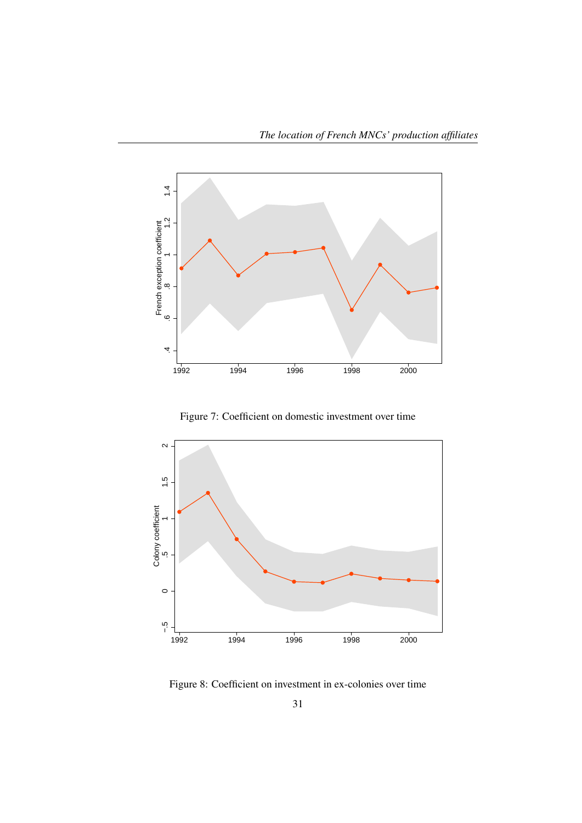

Figure 7: Coefficient on domestic investment over time



Figure 8: Coefficient on investment in ex-colonies over time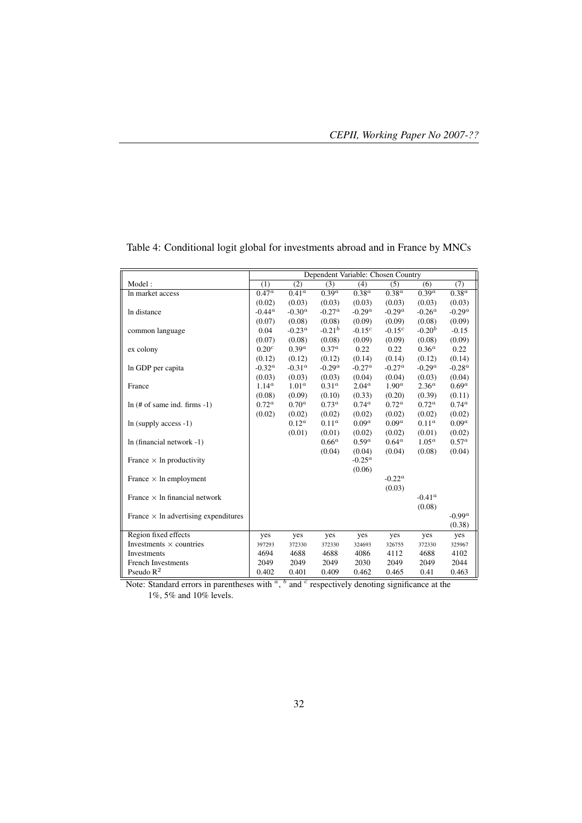|                                             |                       |                     | Dependent Variable: Chosen Country |                   |                   |                     |                   |
|---------------------------------------------|-----------------------|---------------------|------------------------------------|-------------------|-------------------|---------------------|-------------------|
| Model:                                      | (1)                   | (2)                 | (3)                                | (4)               | (5)               | (6)                 | (7)               |
| In market access                            | $0.47^{\overline{a}}$ | $0.4\overline{1^a}$ | $\overline{0.39^a}$                | 0.38 <sup>a</sup> | 0.38 <sup>a</sup> | $\overline{0.39^a}$ | 0.38 <sup>a</sup> |
|                                             | (0.02)                | (0.03)              | (0.03)                             | (0.03)            | (0.03)            | (0.03)              | (0.03)            |
| In distance                                 | $-0.44^{\alpha}$      | $-0.30^a$           | $-0.27^a$                          | $-0.29^a$         | $-0.29^a$         | $-0.26^a$           | $-0.29^{a}$       |
|                                             | (0.07)                | (0.08)              | (0.08)                             | (0.09)            | (0.09)            | (0.08)              | (0.09)            |
| common language                             | 0.04                  | $-0.23^a$           | $-0.21^{b}$                        | $-0.15^{c}$       | $-0.15^{c}$       | $-0.20b$            | $-0.15$           |
|                                             | (0.07)                | (0.08)              | (0.08)                             | (0.09)            | (0.09)            | (0.08)              | (0.09)            |
| ex colony                                   | 0.20 <sup>c</sup>     | 0.39 <sup>a</sup>   | $0.37^{\alpha}$                    | 0.22              | 0.22              | $0.36^a$            | 0.22              |
|                                             | (0.12)                | (0.12)              | (0.12)                             | (0.14)            | (0.14)            | (0.12)              | (0.14)            |
| In GDP per capita                           | $-0.32^a$             | $-0.31^a$           | $-0.29^a$                          | $-0.27^a$         | $-0.27^{a}$       | $-0.29^a$           | $-0.28^{a}$       |
|                                             | (0.03)                | (0.03)              | (0.03)                             | (0.04)            | (0.04)            | (0.03)              | (0.04)            |
| France                                      | $1.14^{a}$            | 1.01 <sup>a</sup>   | 0.31 <sup>a</sup>                  | 2.04 <sup>a</sup> | $1.90^a$          | 2.36 <sup>a</sup>   | $0.69^a$          |
|                                             | (0.08)                | (0.09)              | (0.10)                             | (0.33)            | (0.20)            | (0.39)              | (0.11)            |
| $ln(H \text{ of same ind. firms -1})$       | $0.72^{\alpha}$       | 0.70 <sup>a</sup>   | $0.73^{\alpha}$                    | $0.74^{\alpha}$   | $0.72^{\alpha}$   | $0.72^{\alpha}$     | $0.74^{\rm a}$    |
|                                             | (0.02)                | (0.02)              | (0.02)                             | (0.02)            | (0.02)            | (0.02)              | (0.02)            |
| $ln$ (supply access -1)                     |                       | $0.12^a$            | $0.11^{\alpha}$                    | 0.09 <sup>a</sup> | 0.09 <sup>a</sup> | $0.11^{\alpha}$     | 0.09 <sup>a</sup> |
|                                             |                       | (0.01)              | (0.01)                             | (0.02)            | (0.02)            | (0.01)              | (0.02)            |
| $ln (final network -1)$                     |                       |                     | $0.66^a$                           | 0.59 <sup>a</sup> | $0.64^{\rm a}$    | $1.05^a$            | $0.57^a$          |
|                                             |                       |                     | (0.04)                             | (0.04)            | (0.04)            | (0.08)              | (0.04)            |
| France $\times$ ln productivity             |                       |                     |                                    | $-0.25^a$         |                   |                     |                   |
|                                             |                       |                     |                                    | (0.06)            |                   |                     |                   |
| France $\times$ ln employment               |                       |                     |                                    |                   | $-0.22^a$         |                     |                   |
|                                             |                       |                     |                                    |                   | (0.03)            |                     |                   |
| France $\times$ ln financial network        |                       |                     |                                    |                   |                   | $-0.41^{\alpha}$    |                   |
|                                             |                       |                     |                                    |                   |                   | (0.08)              |                   |
| France $\times$ ln advertising expenditures |                       |                     |                                    |                   |                   |                     | $-0.99^a$         |
|                                             |                       |                     |                                    |                   |                   |                     | (0.38)            |
| Region fixed effects                        | yes                   | yes                 | yes                                | yes               | yes               | yes                 | yes               |
| Investments $\times$ countries              | 397293                | 372330              | 372330                             | 324693            | 326755            | 372330              | 325967            |
| Investments                                 | 4694                  | 4688                | 4688                               | 4086              | 4112              | 4688                | 4102              |
| <b>French Investments</b>                   | 2049                  | 2049                | 2049                               | 2030              | 2049              | 2049                | 2044              |
| Pseudo $R^2$                                | 0.402                 | 0.401               | 0.409                              | 0.462             | 0.465             | 0.41                | 0.463             |

Table 4: Conditional logit global for investments abroad and in France by MNCs

Note: Standard errors in parentheses with  $\alpha$ ,  $\beta$  and  $\beta$  respectively denoting significance at the 1%, 5% and 10% levels.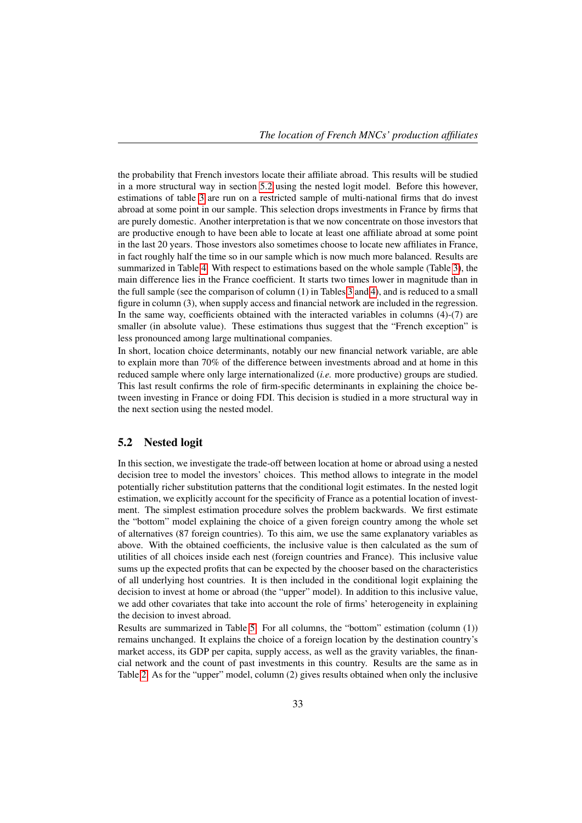the probability that French investors locate their affiliate abroad. This results will be studied in a more structural way in section 5.2 using the nested logit model. Before this however, estimations of table 3 are run on a restricted sample of multi-national firms that do invest abroad at some point in our sample. This selection drops investments in France by firms that are purely domestic. Another interpretation is that we now concentrate on those investors that are productive enough to have been able to locate at least one affiliate abroad at some point in the last 20 years. Those investors also sometimes choose to locate new affiliates in France, in fact roughly half the time so in our sample which is now much more balanced. Results are summarized in Table 4. With respect to estimations based on the whole sample (Table 3), the main difference lies in the France coefficient. It starts two times lower in magnitude than in the full sample (see the comparison of column (1) in Tables 3 and 4), and is reduced to a small figure in column (3), when supply access and financial network are included in the regression. In the same way, coefficients obtained with the interacted variables in columns (4)-(7) are smaller (in absolute value). These estimations thus suggest that the "French exception" is less pronounced among large multinational companies.

In short, location choice determinants, notably our new financial network variable, are able to explain more than 70% of the difference between investments abroad and at home in this reduced sample where only large internationalized (*i.e.* more productive) groups are studied. This last result confirms the role of firm-specific determinants in explaining the choice between investing in France or doing FDI. This decision is studied in a more structural way in the next section using the nested model.

#### 5.2 Nested logit

In this section, we investigate the trade-off between location at home or abroad using a nested decision tree to model the investors' choices. This method allows to integrate in the model potentially richer substitution patterns that the conditional logit estimates. In the nested logit estimation, we explicitly account for the specificity of France as a potential location of investment. The simplest estimation procedure solves the problem backwards. We first estimate the "bottom" model explaining the choice of a given foreign country among the whole set of alternatives (87 foreign countries). To this aim, we use the same explanatory variables as above. With the obtained coefficients, the inclusive value is then calculated as the sum of utilities of all choices inside each nest (foreign countries and France). This inclusive value sums up the expected profits that can be expected by the chooser based on the characteristics of all underlying host countries. It is then included in the conditional logit explaining the decision to invest at home or abroad (the "upper" model). In addition to this inclusive value, we add other covariates that take into account the role of firms' heterogeneity in explaining the decision to invest abroad.

Results are summarized in Table 5. For all columns, the "bottom" estimation (column (1)) remains unchanged. It explains the choice of a foreign location by the destination country's market access, its GDP per capita, supply access, as well as the gravity variables, the financial network and the count of past investments in this country. Results are the same as in Table 2. As for the "upper" model, column (2) gives results obtained when only the inclusive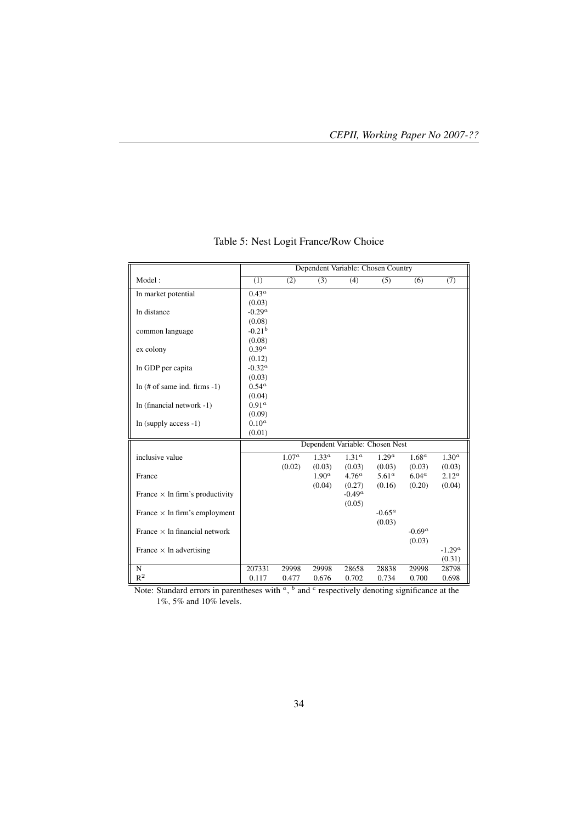|                                        |                   |                   |                  |                   | Dependent Variable: Chosen Country |                |                  |
|----------------------------------------|-------------------|-------------------|------------------|-------------------|------------------------------------|----------------|------------------|
| Model:                                 | $\overline{(1)}$  | (2)               | $\overline{(3)}$ | (4)               | $\overline{(5)}$                   | (6)            | (7)              |
| In market potential                    | $0.43^{\alpha}$   |                   |                  |                   |                                    |                |                  |
|                                        | (0.03)            |                   |                  |                   |                                    |                |                  |
| In distance                            | $-0.29^a$         |                   |                  |                   |                                    |                |                  |
|                                        | (0.08)            |                   |                  |                   |                                    |                |                  |
| common language                        | $-0.21^{b}$       |                   |                  |                   |                                    |                |                  |
|                                        | (0.08)            |                   |                  |                   |                                    |                |                  |
| ex colony                              | 0.39 <sup>a</sup> |                   |                  |                   |                                    |                |                  |
|                                        | (0.12)            |                   |                  |                   |                                    |                |                  |
| In GDP per capita                      | $-0.32^a$         |                   |                  |                   |                                    |                |                  |
|                                        | (0.03)            |                   |                  |                   |                                    |                |                  |
| $ln(H \text{ of same ind. firms -1})$  | $0.54^{\alpha}$   |                   |                  |                   |                                    |                |                  |
|                                        | (0.04)            |                   |                  |                   |                                    |                |                  |
| In (financial network -1)              | 0.91 <sup>a</sup> |                   |                  |                   |                                    |                |                  |
|                                        | (0.09)            |                   |                  |                   |                                    |                |                  |
| $ln$ (supply access $-1$ )             | $0.10^a$          |                   |                  |                   |                                    |                |                  |
|                                        | (0.01)            |                   |                  |                   |                                    |                |                  |
|                                        |                   |                   |                  |                   | Dependent Variable: Chosen Nest    |                |                  |
| inclusive value                        |                   | 1.07 <sup>a</sup> | $1.33^{a}$       | 1.31 <sup>a</sup> | 1.29 <sup>a</sup>                  | $1.68^a$       | $1.30^{a}$       |
|                                        |                   | (0.02)            | (0.03)           | (0.03)            | (0.03)                             | (0.03)         | (0.03)           |
| France                                 |                   |                   | $1.90^a$         | $4.76^a$          | 5.61 <sup>a</sup>                  | $6.04^{\circ}$ | $2.12^a$         |
|                                        |                   |                   | (0.04)           | (0.27)            | (0.16)                             | (0.20)         | (0.04)           |
| France $\times$ ln firm's productivity |                   |                   |                  | $-0.49^a$         |                                    |                |                  |
|                                        |                   |                   |                  | (0.05)            |                                    |                |                  |
| France $\times$ ln firm's employment   |                   |                   |                  |                   | $-0.65^a$                          |                |                  |
|                                        |                   |                   |                  |                   | (0.03)                             |                |                  |
| France $\times$ ln financial network   |                   |                   |                  |                   |                                    | $-0.69^a$      |                  |
|                                        |                   |                   |                  |                   |                                    | (0.03)         |                  |
| France $\times$ ln advertising         |                   |                   |                  |                   |                                    |                | $\text{-}1.29^a$ |
|                                        |                   |                   |                  |                   |                                    |                | (0.31)           |
| $\overline{\rm N}$                     | 207331            | 29998             | 29998            | 28658             | 28838                              | 29998          | 28798            |
| $R^2$                                  | 0.117             | 0.477             | 0.676            | 0.702             | 0.734                              | 0.700          | 0.698            |

## Table 5: Nest Logit France/Row Choice

Note: Standard errors in parentheses with  $\alpha$ ,  $\beta$  and  $\beta$  respectively denoting significance at the 1%, 5% and 10% levels.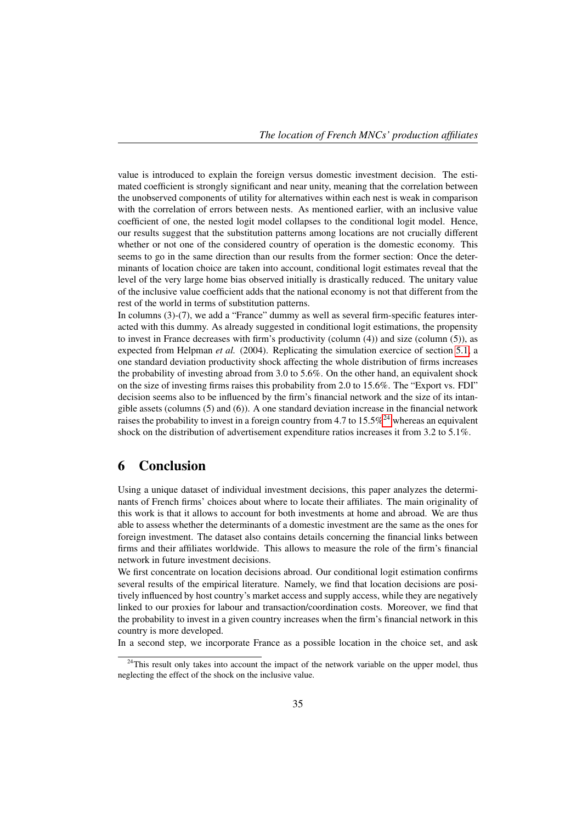value is introduced to explain the foreign versus domestic investment decision. The estimated coefficient is strongly significant and near unity, meaning that the correlation between the unobserved components of utility for alternatives within each nest is weak in comparison with the correlation of errors between nests. As mentioned earlier, with an inclusive value coefficient of one, the nested logit model collapses to the conditional logit model. Hence, our results suggest that the substitution patterns among locations are not crucially different whether or not one of the considered country of operation is the domestic economy. This seems to go in the same direction than our results from the former section: Once the determinants of location choice are taken into account, conditional logit estimates reveal that the level of the very large home bias observed initially is drastically reduced. The unitary value of the inclusive value coefficient adds that the national economy is not that different from the rest of the world in terms of substitution patterns.

In columns (3)-(7), we add a "France" dummy as well as several firm-specific features interacted with this dummy. As already suggested in conditional logit estimations, the propensity to invest in France decreases with firm's productivity (column (4)) and size (column (5)), as expected from Helpman *et al.* (2004). Replicating the simulation exercice of section 5.1, a one standard deviation productivity shock affecting the whole distribution of firms increases the probability of investing abroad from 3.0 to 5.6%. On the other hand, an equivalent shock on the size of investing firms raises this probability from 2.0 to 15.6%. The "Export vs. FDI" decision seems also to be influenced by the firm's financial network and the size of its intangible assets (columns (5) and (6)). A one standard deviation increase in the financial network raises the probability to invest in a foreign country from 4.7 to  $15.5\%^{24}$  whereas an equivalent shock on the distribution of advertisement expenditure ratios increases it from 3.2 to 5.1%.

## 6 Conclusion

Using a unique dataset of individual investment decisions, this paper analyzes the determinants of French firms' choices about where to locate their affiliates. The main originality of this work is that it allows to account for both investments at home and abroad. We are thus able to assess whether the determinants of a domestic investment are the same as the ones for foreign investment. The dataset also contains details concerning the financial links between firms and their affiliates worldwide. This allows to measure the role of the firm's financial network in future investment decisions.

We first concentrate on location decisions abroad. Our conditional logit estimation confirms several results of the empirical literature. Namely, we find that location decisions are positively influenced by host country's market access and supply access, while they are negatively linked to our proxies for labour and transaction/coordination costs. Moreover, we find that the probability to invest in a given country increases when the firm's financial network in this country is more developed.

In a second step, we incorporate France as a possible location in the choice set, and ask

<sup>&</sup>lt;sup>24</sup>This result only takes into account the impact of the network variable on the upper model, thus neglecting the effect of the shock on the inclusive value.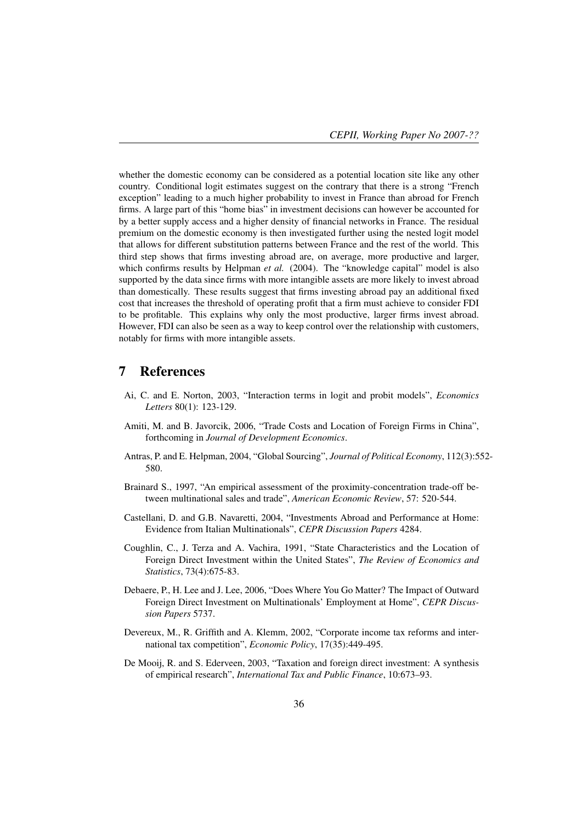whether the domestic economy can be considered as a potential location site like any other country. Conditional logit estimates suggest on the contrary that there is a strong "French exception" leading to a much higher probability to invest in France than abroad for French firms. A large part of this "home bias" in investment decisions can however be accounted for by a better supply access and a higher density of financial networks in France. The residual premium on the domestic economy is then investigated further using the nested logit model that allows for different substitution patterns between France and the rest of the world. This third step shows that firms investing abroad are, on average, more productive and larger, which confirms results by Helpman *et al.* (2004). The "knowledge capital" model is also supported by the data since firms with more intangible assets are more likely to invest abroad than domestically. These results suggest that firms investing abroad pay an additional fixed cost that increases the threshold of operating profit that a firm must achieve to consider FDI to be profitable. This explains why only the most productive, larger firms invest abroad. However, FDI can also be seen as a way to keep control over the relationship with customers, notably for firms with more intangible assets.

## 7 References

- Ai, C. and E. Norton, 2003, "Interaction terms in logit and probit models", *Economics Letters* 80(1): 123-129.
- Amiti, M. and B. Javorcik, 2006, "Trade Costs and Location of Foreign Firms in China", forthcoming in *Journal of Development Economics*.
- Antras, P. and E. Helpman, 2004, "Global Sourcing", *Journal of Political Economy*, 112(3):552- 580.
- Brainard S., 1997, "An empirical assessment of the proximity-concentration trade-off between multinational sales and trade", *American Economic Review*, 57: 520-544.
- Castellani, D. and G.B. Navaretti, 2004, "Investments Abroad and Performance at Home: Evidence from Italian Multinationals", *CEPR Discussion Papers* 4284.
- Coughlin, C., J. Terza and A. Vachira, 1991, "State Characteristics and the Location of Foreign Direct Investment within the United States", *The Review of Economics and Statistics*, 73(4):675-83.
- Debaere, P., H. Lee and J. Lee, 2006, "Does Where You Go Matter? The Impact of Outward Foreign Direct Investment on Multinationals' Employment at Home", *CEPR Discussion Papers* 5737.
- Devereux, M., R. Griffith and A. Klemm, 2002, "Corporate income tax reforms and international tax competition", *Economic Policy*, 17(35):449-495.
- De Mooij, R. and S. Ederveen, 2003, "Taxation and foreign direct investment: A synthesis of empirical research", *International Tax and Public Finance*, 10:673–93.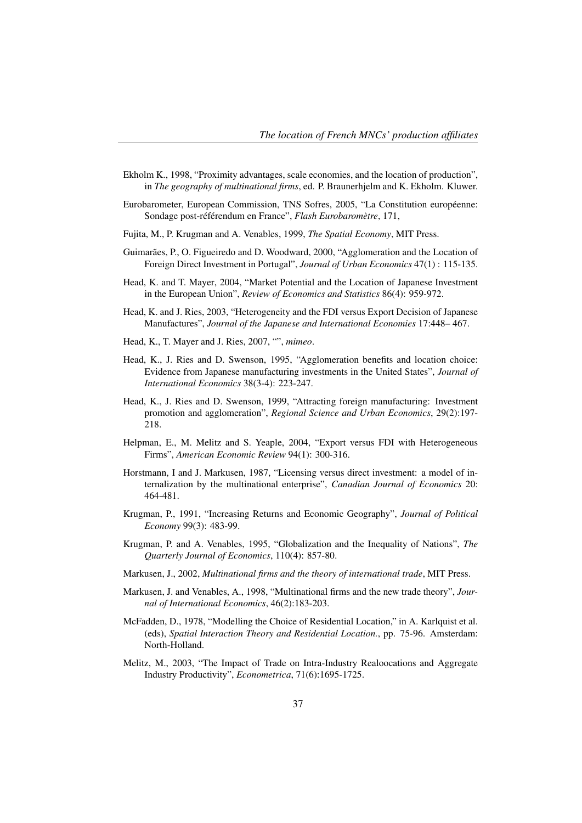- Ekholm K., 1998, "Proximity advantages, scale economies, and the location of production", in *The geography of multinational firms*, ed. P. Braunerhjelm and K. Ekholm. Kluwer.
- Eurobarometer, European Commission, TNS Sofres, 2005, "La Constitution européenne: Sondage post-référendum en France", *Flash Eurobaromètre*, 171,
- Fujita, M., P. Krugman and A. Venables, 1999, *The Spatial Economy*, MIT Press.
- Guimarães, P., O. Figueiredo and D. Woodward, 2000, "Agglomeration and the Location of Foreign Direct Investment in Portugal", *Journal of Urban Economics* 47(1) : 115-135.
- Head, K. and T. Mayer, 2004, "Market Potential and the Location of Japanese Investment in the European Union", *Review of Economics and Statistics* 86(4): 959-972.
- Head, K. and J. Ries, 2003, "Heterogeneity and the FDI versus Export Decision of Japanese Manufactures", *Journal of the Japanese and International Economies* 17:448– 467.
- Head, K., T. Mayer and J. Ries, 2007, "", *mimeo*.
- Head, K., J. Ries and D. Swenson, 1995, "Agglomeration benefits and location choice: Evidence from Japanese manufacturing investments in the United States", *Journal of International Economics* 38(3-4): 223-247.
- Head, K., J. Ries and D. Swenson, 1999, "Attracting foreign manufacturing: Investment promotion and agglomeration", *Regional Science and Urban Economics*, 29(2):197- 218.
- Helpman, E., M. Melitz and S. Yeaple, 2004, "Export versus FDI with Heterogeneous Firms", *American Economic Review* 94(1): 300-316.
- Horstmann, I and J. Markusen, 1987, "Licensing versus direct investment: a model of internalization by the multinational enterprise", *Canadian Journal of Economics* 20: 464-481.
- Krugman, P., 1991, "Increasing Returns and Economic Geography", *Journal of Political Economy* 99(3): 483-99.
- Krugman, P. and A. Venables, 1995, "Globalization and the Inequality of Nations", *The Quarterly Journal of Economics*, 110(4): 857-80.
- Markusen, J., 2002, *Multinational firms and the theory of international trade*, MIT Press.
- Markusen, J. and Venables, A., 1998, "Multinational firms and the new trade theory", *Journal of International Economics*, 46(2):183-203.
- McFadden, D., 1978, "Modelling the Choice of Residential Location," in A. Karlquist et al. (eds), *Spatial Interaction Theory and Residential Location.*, pp. 75-96. Amsterdam: North-Holland.
- Melitz, M., 2003, "The Impact of Trade on Intra-Industry Realoocations and Aggregate Industry Productivity", *Econometrica*, 71(6):1695-1725.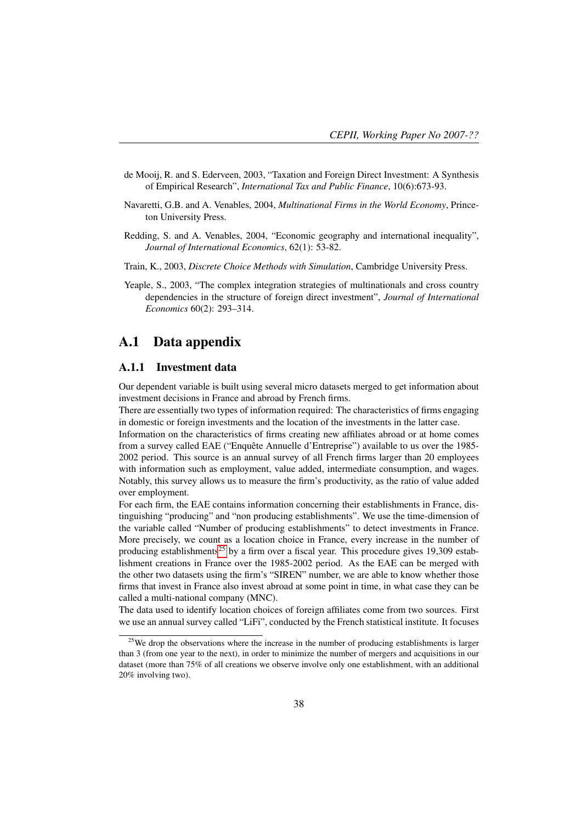- de Mooij, R. and S. Ederveen, 2003, "Taxation and Foreign Direct Investment: A Synthesis of Empirical Research", *International Tax and Public Finance*, 10(6):673-93.
- Navaretti, G.B. and A. Venables, 2004, *Multinational Firms in the World Economy*, Princeton University Press.
- Redding, S. and A. Venables, 2004, "Economic geography and international inequality", *Journal of International Economics*, 62(1): 53-82.
- Train, K., 2003, *Discrete Choice Methods with Simulation*, Cambridge University Press.
- Yeaple, S., 2003, "The complex integration strategies of multinationals and cross country dependencies in the structure of foreign direct investment", *Journal of International Economics* 60(2): 293–314.

## A.1 Data appendix

#### A.1.1 Investment data

Our dependent variable is built using several micro datasets merged to get information about investment decisions in France and abroad by French firms.

There are essentially two types of information required: The characteristics of firms engaging in domestic or foreign investments and the location of the investments in the latter case.

Information on the characteristics of firms creating new affiliates abroad or at home comes from a survey called EAE ("Enquête Annuelle d'Entreprise") available to us over the 1985- 2002 period. This source is an annual survey of all French firms larger than 20 employees with information such as employment, value added, intermediate consumption, and wages. Notably, this survey allows us to measure the firm's productivity, as the ratio of value added over employment.

For each firm, the EAE contains information concerning their establishments in France, distinguishing "producing" and "non producing establishments". We use the time-dimension of the variable called "Number of producing establishments" to detect investments in France. More precisely, we count as a location choice in France, every increase in the number of producing establishments<sup>25</sup> by a firm over a fiscal year. This procedure gives 19,309 establishment creations in France over the 1985-2002 period. As the EAE can be merged with the other two datasets using the firm's "SIREN" number, we are able to know whether those firms that invest in France also invest abroad at some point in time, in what case they can be called a multi-national company (MNC).

The data used to identify location choices of foreign affiliates come from two sources. First we use an annual survey called "LiFi", conducted by the French statistical institute. It focuses

 $25$ We drop the observations where the increase in the number of producing establishments is larger than 3 (from one year to the next), in order to minimize the number of mergers and acquisitions in our dataset (more than 75% of all creations we observe involve only one establishment, with an additional 20% involving two).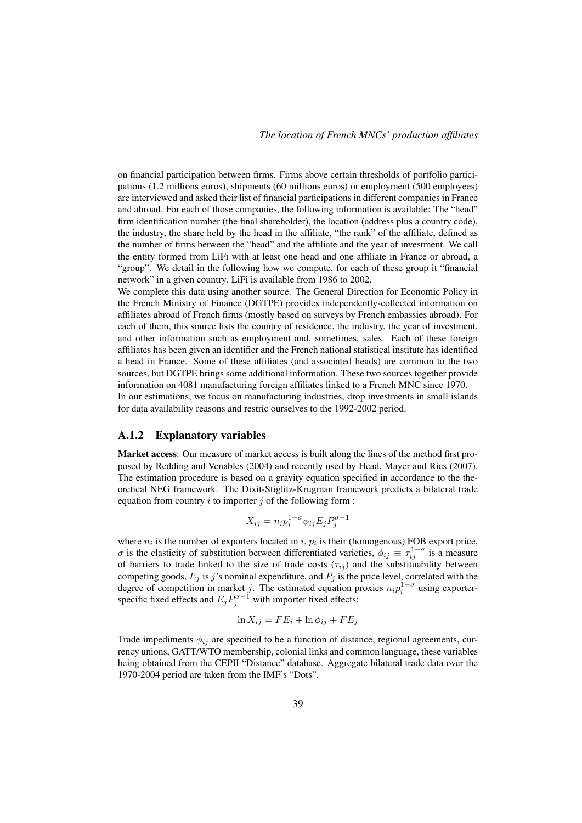on financial participation between firms. Firms above certain thresholds of portfolio participations (1.2 millions euros), shipments (60 millions euros) or employment (500 employees) are interviewed and asked their list of financial participations in different companies in France and abroad. For each of those companies, the following information is available: The "head" firm identification number (the final shareholder), the location (address plus a country code), the industry, the share held by the head in the affiliate, "the rank" of the affiliate, defined as the number of firms between the "head" and the affiliate and the year of investment. We call the entity formed from LiFi with at least one head and one affiliate in France or abroad, a "group". We detail in the following how we compute, for each of these group it "financial network" in a given country. LiFi is available from 1986 to 2002.

We complete this data using another source. The General Direction for Economic Policy in the French Ministry of Finance (DGTPE) provides independently-collected information on affiliates abroad of French firms (mostly based on surveys by French embassies abroad). For each of them, this source lists the country of residence, the industry, the year of investment, and other information such as employment and, sometimes, sales. Each of these foreign affiliates has been given an identifier and the French national statistical institute has identified a head in France. Some of these affiliates (and associated heads) are common to the two sources, but DGTPE brings some additional information. These two sources together provide information on 4081 manufacturing foreign affiliates linked to a French MNC since 1970. In our estimations, we focus on manufacturing industries, drop investments in small islands for data availability reasons and restric ourselves to the 1992-2002 period.

#### A.1.2 Explanatory variables

Market access: Our measure of market access is built along the lines of the method first proposed by Redding and Venables (2004) and recently used by Head, Mayer and Ries (2007). The estimation procedure is based on a gravity equation specified in accordance to the theoretical NEG framework. The Dixit-Stiglitz-Krugman framework predicts a bilateral trade equation from country  $i$  to importer  $j$  of the following form :

$$
X_{ij} = n_i p_i^{1-\sigma} \phi_{ij} E_j P_j^{\sigma - 1}
$$

where  $n_i$  is the number of exporters located in i,  $p_i$  is their (homogenous) FOB export price,  $\sigma$  is the elasticity of substitution between differentiated varieties,  $\phi_{ij} \equiv \tau_{ij}^{1-\sigma}$  is a measure of barriers to trade linked to the size of trade costs  $(\tau_{ij})$  and the substituability between competing goods,  $E_j$  is j's nominal expenditure, and  $P_j$  is the price level, correlated with the degree of competition in market j. The estimated equation proxies  $n_i p_i^{1-\sigma}$  using exporterspecific fixed effects and  $E_j P_j^{\sigma-1}$  with importer fixed effects:

$$
\ln X_{ij} = FE_i + \ln \phi_{ij} + FE_j
$$

Trade impediments  $\phi_{ij}$  are specified to be a function of distance, regional agreements, currency unions, GATT/WTO membership, colonial links and common language, these variables being obtained from the CEPII "Distance" database. Aggregate bilateral trade data over the 1970-2004 period are taken from the IMF's "Dots".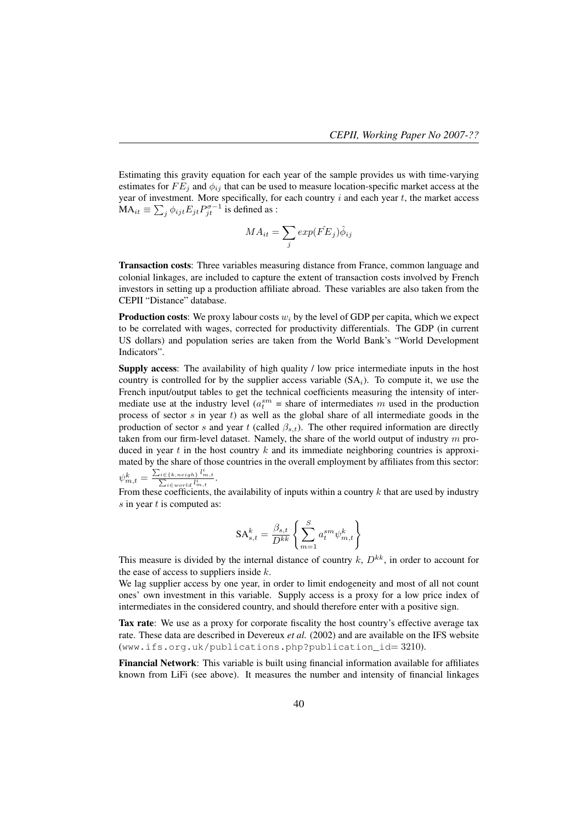Estimating this gravity equation for each year of the sample provides us with time-varying estimates for  $FE_i$  and  $\phi_{ij}$  that can be used to measure location-specific market access at the year of investment. More specifically, for each country  $i$  and each year  $t$ , the market access  $MA_{it} \equiv \sum_{j} \phi_{ijt} E_{jt} P_{jt}^{\sigma-1}$  is defined as :

$$
MA_{it} = \sum_{j} exp(\hat{FE}_{j})\hat{\phi}_{ij}
$$

Transaction costs: Three variables measuring distance from France, common language and colonial linkages, are included to capture the extent of transaction costs involved by French investors in setting up a production affiliate abroad. These variables are also taken from the CEPII "Distance" database.

**Production costs:** We proxy labour costs  $w_i$  by the level of GDP per capita, which we expect to be correlated with wages, corrected for productivity differentials. The GDP (in current US dollars) and population series are taken from the World Bank's "World Development Indicators".

Supply access: The availability of high quality / low price intermediate inputs in the host country is controlled for by the supplier access variable  $(SA_i)$ . To compute it, we use the French input/output tables to get the technical coefficients measuring the intensity of intermediate use at the industry level ( $a_t^{sm}$  = share of intermediates m used in the production process of sector  $s$  in year  $t$ ) as well as the global share of all intermediate goods in the production of sector s and year t (called  $\beta_{s,t}$ ). The other required information are directly taken from our firm-level dataset. Namely, the share of the world output of industry  $m$  produced in year t in the host country  $k$  and its immediate neighboring countries is approximated by the share of those countries in the overall employment by affiliates from this sector:  $\psi_{m,t}^k = \frac{\sum_{i \in \{k,neigh\}} l_{m,t}^i}{\sum_{i \in world} l_{m,t}^i}.$ 

From these coefficients, the availability of inputs within a country  $k$  that are used by industry  $s$  in year  $t$  is computed as:

$$
SA_{s,t}^k = \frac{\beta_{s,t}}{D^{kk}} \left\{ \sum_{m=1}^S a_t^{sm} \psi_{m,t}^k \right\}
$$

This measure is divided by the internal distance of country  $k$ ,  $D^{kk}$ , in order to account for the ease of access to suppliers inside  $k$ .

We lag supplier access by one year, in order to limit endogeneity and most of all not count ones' own investment in this variable. Supply access is a proxy for a low price index of intermediates in the considered country, and should therefore enter with a positive sign.

Tax rate: We use as a proxy for corporate fiscality the host country's effective average tax rate. These data are described in Devereux *et al.* (2002) and are available on the IFS website (www.ifs.org.uk/publications.php?publication\_id= 3210).

Financial Network: This variable is built using financial information available for affiliates known from LiFi (see above). It measures the number and intensity of financial linkages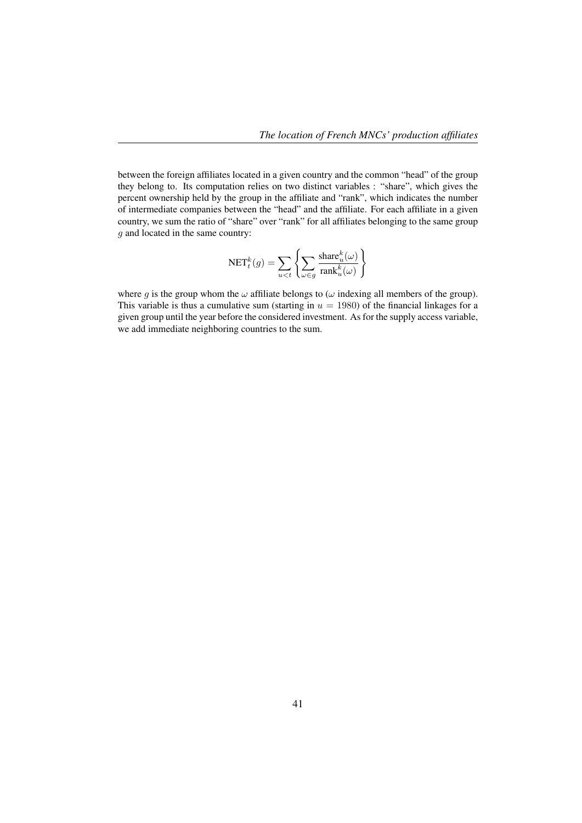between the foreign affiliates located in a given country and the common "head" of the group they belong to. Its computation relies on two distinct variables : "share", which gives the percent ownership held by the group in the affiliate and "rank", which indicates the number of intermediate companies between the "head" and the affiliate. For each affiliate in a given country, we sum the ratio of "share" over "rank" for all affiliates belonging to the same group g and located in the same country:

$$
\mathrm{NET}^k_t(g) = \sum_{u < t} \left\{ \sum_{\omega \in g} \frac{\mathrm{share}^k_u(\omega)}{\mathrm{rank}^k_u(\omega)} \right\}
$$

where g is the group whom the  $\omega$  affiliate belongs to ( $\omega$  indexing all members of the group). This variable is thus a cumulative sum (starting in  $u = 1980$ ) of the financial linkages for a given group until the year before the considered investment. As for the supply access variable, we add immediate neighboring countries to the sum.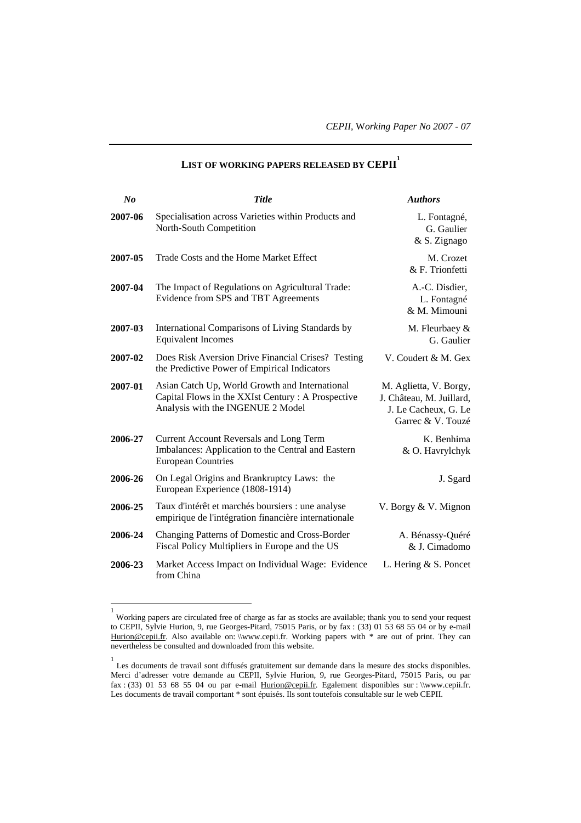| $N_{0}$ | <b>Title</b>                                                                                                                             | <b>Authors</b>                                                                                  |
|---------|------------------------------------------------------------------------------------------------------------------------------------------|-------------------------------------------------------------------------------------------------|
| 2007-06 | Specialisation across Varieties within Products and<br>North-South Competition                                                           | L. Fontagné,<br>G. Gaulier<br>& S. Zignago                                                      |
| 2007-05 | Trade Costs and the Home Market Effect                                                                                                   | M. Crozet<br>& F. Trionfetti                                                                    |
| 2007-04 | The Impact of Regulations on Agricultural Trade:<br>Evidence from SPS and TBT Agreements                                                 | A.-C. Disdier,<br>L. Fontagné<br>& M. Mimouni                                                   |
| 2007-03 | International Comparisons of Living Standards by<br><b>Equivalent Incomes</b>                                                            | M. Fleurbaey &<br>G. Gaulier                                                                    |
| 2007-02 | Does Risk Aversion Drive Financial Crises? Testing<br>the Predictive Power of Empirical Indicators                                       | V. Coudert & M. Gex                                                                             |
| 2007-01 | Asian Catch Up, World Growth and International<br>Capital Flows in the XXIst Century: A Prospective<br>Analysis with the INGENUE 2 Model | M. Aglietta, V. Borgy,<br>J. Château, M. Juillard,<br>J. Le Cacheux, G. Le<br>Garrec & V. Touzé |
| 2006-27 | <b>Current Account Reversals and Long Term</b><br>Imbalances: Application to the Central and Eastern<br><b>European Countries</b>        | K. Benhima<br>& O. Havrylchyk                                                                   |
| 2006-26 | On Legal Origins and Brankruptcy Laws: the<br>European Experience (1808-1914)                                                            | J. Sgard                                                                                        |
| 2006-25 | Taux d'intérêt et marchés boursiers : une analyse<br>empirique de l'intégration financière internationale                                | V. Borgy & V. Mignon                                                                            |
| 2006-24 | Changing Patterns of Domestic and Cross-Border<br>Fiscal Policy Multipliers in Europe and the US                                         | A. Bénassy-Quéré<br>& J. Cimadomo                                                               |
| 2006-23 | Market Access Impact on Individual Wage: Evidence<br>from China                                                                          | L. Hering & S. Poncet                                                                           |

## **LIST OF WORKING PAPERS RELEASED BY CEPII<sup>1</sup>**

l

<sup>1</sup> Working papers are circulated free of charge as far as stocks are available; thank you to send your request to CEPII, Sylvie Hurion, 9, rue Georges-Pitard, 75015 Paris, or by fax : (33) 01 53 68 55 04 or by e-mail Hurion@cepii.fr. Also available on: \\www.cepii.fr. Working papers with \* are out of print. They can nevertheless be consulted and downloaded from this website.

<sup>1</sup> Les documents de travail sont diffusés gratuitement sur demande dans la mesure des stocks disponibles. Merci d'adresser votre demande au CEPII, Sylvie Hurion, 9, rue Georges-Pitard, 75015 Paris, ou par fax :  $(33)$  01 53 68 55 04 ou par e-mail Hurion@cepii.fr. Egalement disponibles sur : \\www.cepii.fr. Les documents de travail comportant \* sont épuisés. Ils sont toutefois consultable sur le web CEPII.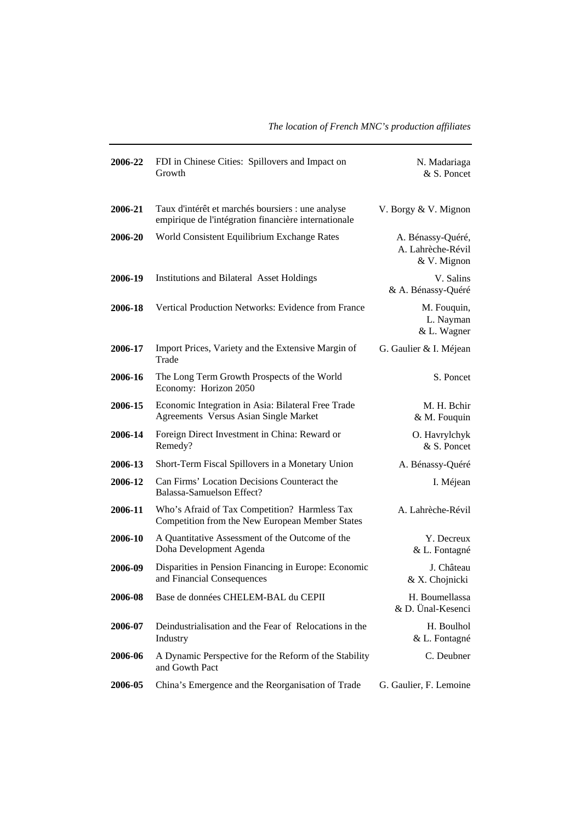| 2006-22 | FDI in Chinese Cities: Spillovers and Impact on<br>Growth                                                 | N. Madariaga<br>& S. Poncet                           |
|---------|-----------------------------------------------------------------------------------------------------------|-------------------------------------------------------|
| 2006-21 | Taux d'intérêt et marchés boursiers : une analyse<br>empirique de l'intégration financière internationale | V. Borgy & V. Mignon                                  |
| 2006-20 | World Consistent Equilibrium Exchange Rates                                                               | A. Bénassy-Quéré,<br>A. Lahrèche-Révil<br>& V. Mignon |
| 2006-19 | Institutions and Bilateral Asset Holdings                                                                 | V. Salins<br>& A. Bénassy-Quéré                       |
| 2006-18 | Vertical Production Networks: Evidence from France                                                        | M. Fouquin,<br>L. Nayman<br>& L. Wagner               |
| 2006-17 | Import Prices, Variety and the Extensive Margin of<br>Trade                                               | G. Gaulier & I. Méjean                                |
| 2006-16 | The Long Term Growth Prospects of the World<br>Economy: Horizon 2050                                      | S. Poncet                                             |
| 2006-15 | Economic Integration in Asia: Bilateral Free Trade<br>Agreements Versus Asian Single Market               | M. H. Bchir<br>& M. Fouquin                           |
| 2006-14 | Foreign Direct Investment in China: Reward or<br>Remedy?                                                  | O. Havrylchyk<br>& S. Poncet                          |
| 2006-13 | Short-Term Fiscal Spillovers in a Monetary Union                                                          | A. Bénassy-Quéré                                      |
| 2006-12 | Can Firms' Location Decisions Counteract the<br>Balassa-Samuelson Effect?                                 | I. Méjean                                             |
| 2006-11 | Who's Afraid of Tax Competition? Harmless Tax<br>Competition from the New European Member States          | A. Lahrèche-Révil                                     |
| 2006-10 | A Quantitative Assessment of the Outcome of the<br>Doha Development Agenda                                | Y. Decreux<br>& L. Fontagné                           |
| 2006-09 | Disparities in Pension Financing in Europe: Economic<br>and Financial Consequences                        | J. Château<br>& X. Chojnicki                          |
| 2006-08 | Base de données CHELEM-BAL du CEPII                                                                       | H. Boumellassa<br>& D. Ünal-Kesenci                   |
| 2006-07 | Deindustrialisation and the Fear of Relocations in the<br>Industry                                        | H. Boulhol<br>& L. Fontagné                           |
| 2006-06 | A Dynamic Perspective for the Reform of the Stability<br>and Gowth Pact                                   | C. Deubner                                            |
| 2006-05 | China's Emergence and the Reorganisation of Trade                                                         | G. Gaulier, F. Lemoine                                |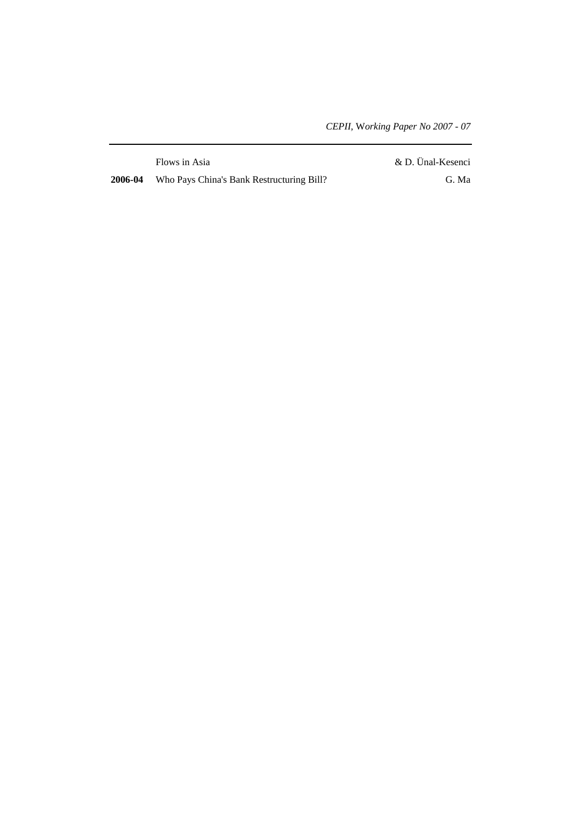|         | Flows in Asia                             | & D. Ünal-Kesenci |
|---------|-------------------------------------------|-------------------|
| 2006-04 | Who Pays China's Bank Restructuring Bill? | G. Ma             |